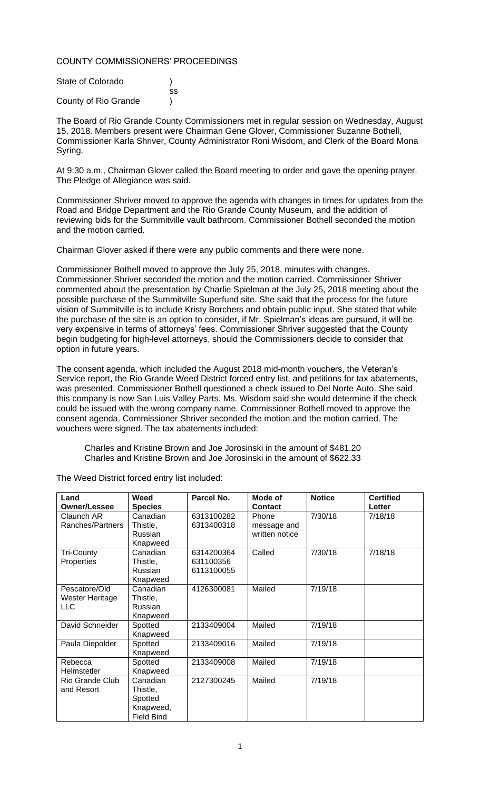## COUNTY COMMISSIONERS' PROCEEDINGS

| State of Colorado    |    |
|----------------------|----|
|                      | SS |
| County of Rio Grande |    |

The Board of Rio Grande County Commissioners met in regular session on Wednesday, August 15, 2018. Members present were Chairman Gene Glover, Commissioner Suzanne Bothell, Commissioner Karla Shriver, County Administrator Roni Wisdom, and Clerk of the Board Mona Syring.

At 9:30 a.m., Chairman Glover called the Board meeting to order and gave the opening prayer. The Pledge of Allegiance was said.

Commissioner Shriver moved to approve the agenda with changes in times for updates from the Road and Bridge Department and the Rio Grande County Museum, and the addition of reviewing bids for the Summitville vault bathroom. Commissioner Bothell seconded the motion and the motion carried.

Chairman Glover asked if there were any public comments and there were none.

Commissioner Bothell moved to approve the July 25, 2018, minutes with changes. Commissioner Shriver seconded the motion and the motion carried. Commissioner Shriver commented about the presentation by Charlie Spielman at the July 25, 2018 meeting about the possible purchase of the Summitville Superfund site. She said that the process for the future vision of Summitville is to include Kristy Borchers and obtain public input. She stated that while the purchase of the site is an option to consider, if Mr. Spielman's ideas are pursued, it will be very expensive in terms of attorneys' fees. Commissioner Shriver suggested that the County begin budgeting for high-level attorneys, should the Commissioners decide to consider that option in future years.

The consent agenda, which included the August 2018 mid-month vouchers, the Veteran's Service report, the Rio Grande Weed District forced entry list, and petitions for tax abatements, was presented. Commissioner Bothell questioned a check issued to Del Norte Auto. She said this company is now San Luis Valley Parts. Ms. Wisdom said she would determine if the check could be issued with the wrong company name. Commissioner Bothell moved to approve the consent agenda. Commissioner Shriver seconded the motion and the motion carried. The vouchers were signed. The tax abatements included:

Charles and Kristine Brown and Joe Jorosinski in the amount of \$481.20 Charles and Kristine Brown and Joe Jorosinski in the amount of \$622.33

| Land                   | Weed              | Parcel No. | Mode of        | <b>Notice</b> | <b>Certified</b> |
|------------------------|-------------------|------------|----------------|---------------|------------------|
| <b>Owner/Lessee</b>    | <b>Species</b>    |            | <b>Contact</b> |               | Letter           |
| Claunch AR             | Canadian          | 6313100282 | Phone          | 7/30/18       | 7/18/18          |
| Ranches/Partners       | Thistle,          | 6313400318 | message and    |               |                  |
|                        | Russian           |            | written notice |               |                  |
|                        | Knapweed          |            |                |               |                  |
| <b>Tri-County</b>      | Canadian          | 6314200364 | Called         | 7/30/18       | 7/18/18          |
| Properties             | Thistle,          | 631100356  |                |               |                  |
|                        | Russian           | 6113100055 |                |               |                  |
|                        | Knapweed          |            |                |               |                  |
| Pescatore/Old          | Canadian          | 4126300081 | Mailed         | 7/19/18       |                  |
| Wester Heritage        | Thistle,          |            |                |               |                  |
| <b>LLC</b>             | Russian           |            |                |               |                  |
|                        | Knapweed          |            |                |               |                  |
| David Schneider        | Spotted           | 2133409004 | Mailed         | 7/19/18       |                  |
|                        | Knapweed          |            |                |               |                  |
| Paula Diepolder        | Spotted           | 2133409016 | Mailed         | 7/19/18       |                  |
|                        | Knapweed          |            |                |               |                  |
| Rebecca                | Spotted           | 2133409008 | Mailed         | 7/19/18       |                  |
| Helmstetler            | Knapweed          |            |                |               |                  |
| <b>Rio Grande Club</b> | Canadian          | 2127300245 | Mailed         | 7/19/18       |                  |
| and Resort             | Thistle,          |            |                |               |                  |
|                        | Spotted           |            |                |               |                  |
|                        | Knapweed,         |            |                |               |                  |
|                        | <b>Field Bind</b> |            |                |               |                  |

The Weed District forced entry list included: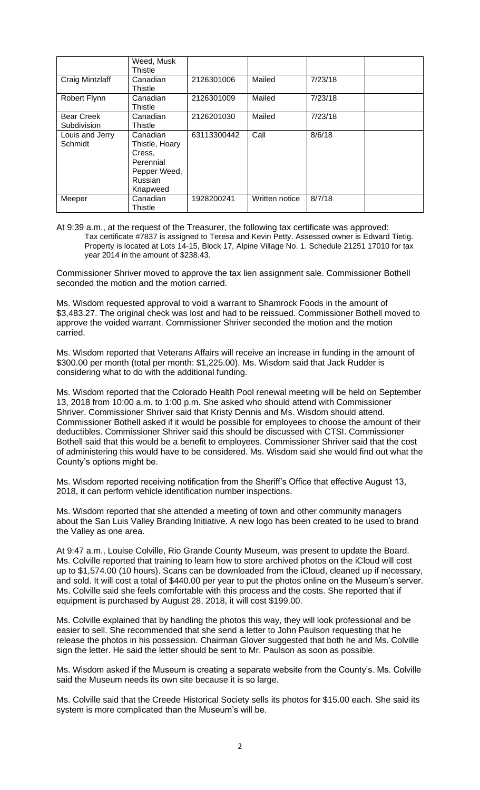|                                  | Weed, Musk<br>Thistle                                                                    |             |                |         |
|----------------------------------|------------------------------------------------------------------------------------------|-------------|----------------|---------|
| Craig Mintzlaff                  | Canadian<br>Thistle                                                                      | 2126301006  | Mailed         | 7/23/18 |
| Robert Flynn                     | Canadian<br>Thistle                                                                      | 2126301009  | Mailed         | 7/23/18 |
| <b>Bear Creek</b><br>Subdivision | Canadian<br>Thistle                                                                      | 2126201030  | Mailed         | 7/23/18 |
| Louis and Jerry<br>Schmidt       | Canadian<br>Thistle, Hoary<br>Cress,<br>Perennial<br>Pepper Weed,<br>Russian<br>Knapweed | 63113300442 | Call           | 8/6/18  |
| Meeper                           | Canadian<br>Thistle                                                                      | 1928200241  | Written notice | 8/7/18  |

At 9:39 a.m., at the request of the Treasurer, the following tax certificate was approved: Tax certificate #7837 is assigned to Teresa and Kevin Petty. Assessed owner is Edward Tietig. Property is located at Lots 14-15, Block 17, Alpine Village No. 1. Schedule 21251 17010 for tax year 2014 in the amount of \$238.43.

Commissioner Shriver moved to approve the tax lien assignment sale. Commissioner Bothell seconded the motion and the motion carried.

Ms. Wisdom requested approval to void a warrant to Shamrock Foods in the amount of \$3,483.27. The original check was lost and had to be reissued. Commissioner Bothell moved to approve the voided warrant. Commissioner Shriver seconded the motion and the motion carried.

Ms. Wisdom reported that Veterans Affairs will receive an increase in funding in the amount of \$300.00 per month (total per month: \$1,225.00). Ms. Wisdom said that Jack Rudder is considering what to do with the additional funding.

Ms. Wisdom reported that the Colorado Health Pool renewal meeting will be held on September 13, 2018 from 10:00 a.m. to 1:00 p.m. She asked who should attend with Commissioner Shriver. Commissioner Shriver said that Kristy Dennis and Ms. Wisdom should attend. Commissioner Bothell asked if it would be possible for employees to choose the amount of their deductibles. Commissioner Shriver said this should be discussed with CTSI. Commissioner Bothell said that this would be a benefit to employees. Commissioner Shriver said that the cost of administering this would have to be considered. Ms. Wisdom said she would find out what the County's options might be.

Ms. Wisdom reported receiving notification from the Sheriff's Office that effective August 13, 2018, it can perform vehicle identification number inspections.

Ms. Wisdom reported that she attended a meeting of town and other community managers about the San Luis Valley Branding Initiative. A new logo has been created to be used to brand the Valley as one area.

At 9:47 a.m., Louise Colville, Rio Grande County Museum, was present to update the Board. Ms. Colville reported that training to learn how to store archived photos on the iCloud will cost up to \$1,574.00 (10 hours). Scans can be downloaded from the iCloud, cleaned up if necessary, and sold. It will cost a total of \$440.00 per year to put the photos online on the Museum's server. Ms. Colville said she feels comfortable with this process and the costs. She reported that if equipment is purchased by August 28, 2018, it will cost \$199.00.

Ms. Colville explained that by handling the photos this way, they will look professional and be easier to sell. She recommended that she send a letter to John Paulson requesting that he release the photos in his possession. Chairman Glover suggested that both he and Ms. Colville sign the letter. He said the letter should be sent to Mr. Paulson as soon as possible.

Ms. Wisdom asked if the Museum is creating a separate website from the County's. Ms. Colville said the Museum needs its own site because it is so large.

Ms. Colville said that the Creede Historical Society sells its photos for \$15.00 each. She said its system is more complicated than the Museum's will be.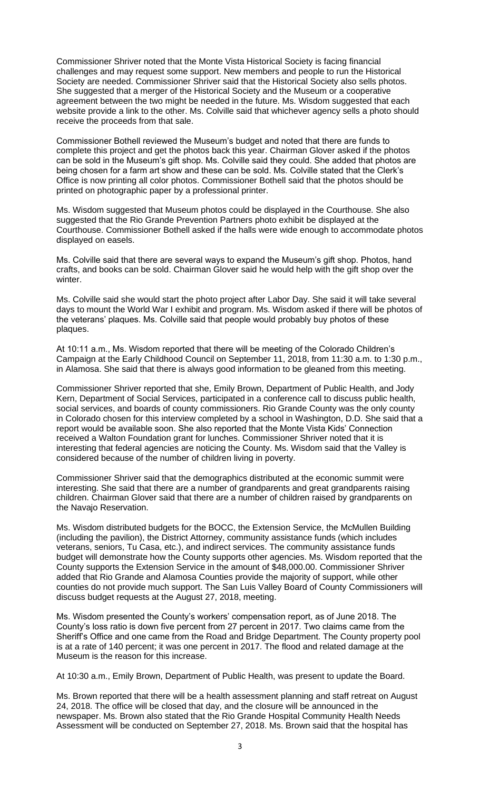Commissioner Shriver noted that the Monte Vista Historical Society is facing financial challenges and may request some support. New members and people to run the Historical Society are needed. Commissioner Shriver said that the Historical Society also sells photos. She suggested that a merger of the Historical Society and the Museum or a cooperative agreement between the two might be needed in the future. Ms. Wisdom suggested that each website provide a link to the other. Ms. Colville said that whichever agency sells a photo should receive the proceeds from that sale.

Commissioner Bothell reviewed the Museum's budget and noted that there are funds to complete this project and get the photos back this year. Chairman Glover asked if the photos can be sold in the Museum's gift shop. Ms. Colville said they could. She added that photos are being chosen for a farm art show and these can be sold. Ms. Colville stated that the Clerk's Office is now printing all color photos. Commissioner Bothell said that the photos should be printed on photographic paper by a professional printer.

Ms. Wisdom suggested that Museum photos could be displayed in the Courthouse. She also suggested that the Rio Grande Prevention Partners photo exhibit be displayed at the Courthouse. Commissioner Bothell asked if the halls were wide enough to accommodate photos displayed on easels.

Ms. Colville said that there are several ways to expand the Museum's gift shop. Photos, hand crafts, and books can be sold. Chairman Glover said he would help with the gift shop over the winter.

Ms. Colville said she would start the photo project after Labor Day. She said it will take several days to mount the World War I exhibit and program. Ms. Wisdom asked if there will be photos of the veterans' plaques. Ms. Colville said that people would probably buy photos of these plaques.

At 10:11 a.m., Ms. Wisdom reported that there will be meeting of the Colorado Children's Campaign at the Early Childhood Council on September 11, 2018, from 11:30 a.m. to 1:30 p.m., in Alamosa. She said that there is always good information to be gleaned from this meeting.

Commissioner Shriver reported that she, Emily Brown, Department of Public Health, and Jody Kern, Department of Social Services, participated in a conference call to discuss public health, social services, and boards of county commissioners. Rio Grande County was the only county in Colorado chosen for this interview completed by a school in Washington, D.D. She said that a report would be available soon. She also reported that the Monte Vista Kids' Connection received a Walton Foundation grant for lunches. Commissioner Shriver noted that it is interesting that federal agencies are noticing the County. Ms. Wisdom said that the Valley is considered because of the number of children living in poverty.

Commissioner Shriver said that the demographics distributed at the economic summit were interesting. She said that there are a number of grandparents and great grandparents raising children. Chairman Glover said that there are a number of children raised by grandparents on the Navajo Reservation.

Ms. Wisdom distributed budgets for the BOCC, the Extension Service, the McMullen Building (including the pavilion), the District Attorney, community assistance funds (which includes veterans, seniors, Tu Casa, etc.), and indirect services. The community assistance funds budget will demonstrate how the County supports other agencies. Ms. Wisdom reported that the County supports the Extension Service in the amount of \$48,000.00. Commissioner Shriver added that Rio Grande and Alamosa Counties provide the majority of support, while other counties do not provide much support. The San Luis Valley Board of County Commissioners will discuss budget requests at the August 27, 2018, meeting.

Ms. Wisdom presented the County's workers' compensation report, as of June 2018. The County's loss ratio is down five percent from 27 percent in 2017. Two claims came from the Sheriff's Office and one came from the Road and Bridge Department. The County property pool is at a rate of 140 percent; it was one percent in 2017. The flood and related damage at the Museum is the reason for this increase.

At 10:30 a.m., Emily Brown, Department of Public Health, was present to update the Board.

Ms. Brown reported that there will be a health assessment planning and staff retreat on August 24, 2018. The office will be closed that day, and the closure will be announced in the newspaper. Ms. Brown also stated that the Rio Grande Hospital Community Health Needs Assessment will be conducted on September 27, 2018. Ms. Brown said that the hospital has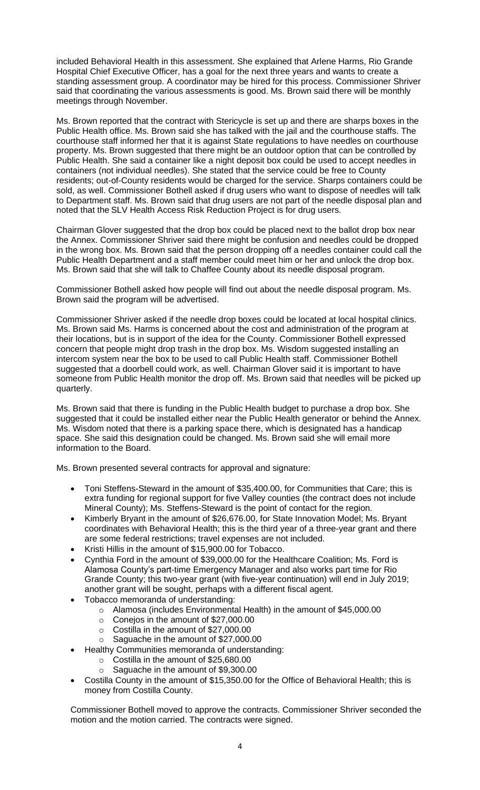included Behavioral Health in this assessment. She explained that Arlene Harms, Rio Grande Hospital Chief Executive Officer, has a goal for the next three years and wants to create a standing assessment group. A coordinator may be hired for this process. Commissioner Shriver said that coordinating the various assessments is good. Ms. Brown said there will be monthly meetings through November.

Ms. Brown reported that the contract with Stericycle is set up and there are sharps boxes in the Public Health office. Ms. Brown said she has talked with the jail and the courthouse staffs. The courthouse staff informed her that it is against State regulations to have needles on courthouse property. Ms. Brown suggested that there might be an outdoor option that can be controlled by Public Health. She said a container like a night deposit box could be used to accept needles in containers (not individual needles). She stated that the service could be free to County residents; out-of-County residents would be charged for the service. Sharps containers could be sold, as well. Commissioner Bothell asked if drug users who want to dispose of needles will talk to Department staff. Ms. Brown said that drug users are not part of the needle disposal plan and noted that the SLV Health Access Risk Reduction Project is for drug users.

Chairman Glover suggested that the drop box could be placed next to the ballot drop box near the Annex. Commissioner Shriver said there might be confusion and needles could be dropped in the wrong box. Ms. Brown said that the person dropping off a needles container could call the Public Health Department and a staff member could meet him or her and unlock the drop box. Ms. Brown said that she will talk to Chaffee County about its needle disposal program.

Commissioner Bothell asked how people will find out about the needle disposal program. Ms. Brown said the program will be advertised.

Commissioner Shriver asked if the needle drop boxes could be located at local hospital clinics. Ms. Brown said Ms. Harms is concerned about the cost and administration of the program at their locations, but is in support of the idea for the County. Commissioner Bothell expressed concern that people might drop trash in the drop box. Ms. Wisdom suggested installing an intercom system near the box to be used to call Public Health staff. Commissioner Bothell suggested that a doorbell could work, as well. Chairman Glover said it is important to have someone from Public Health monitor the drop off. Ms. Brown said that needles will be picked up quarterly.

Ms. Brown said that there is funding in the Public Health budget to purchase a drop box. She suggested that it could be installed either near the Public Health generator or behind the Annex. Ms. Wisdom noted that there is a parking space there, which is designated has a handicap space. She said this designation could be changed. Ms. Brown said she will email more information to the Board.

Ms. Brown presented several contracts for approval and signature:

- Toni Steffens-Steward in the amount of \$35,400.00, for Communities that Care; this is extra funding for regional support for five Valley counties (the contract does not include Mineral County); Ms. Steffens-Steward is the point of contact for the region.
- Kimberly Bryant in the amount of \$26,676.00, for State Innovation Model; Ms. Bryant coordinates with Behavioral Health; this is the third year of a three-year grant and there are some federal restrictions; travel expenses are not included.
- Kristi Hillis in the amount of \$15,900.00 for Tobacco.
- Cynthia Ford in the amount of \$39,000.00 for the Healthcare Coalition; Ms. Ford is Alamosa County's part-time Emergency Manager and also works part time for Rio Grande County; this two-year grant (with five-year continuation) will end in July 2019; another grant will be sought, perhaps with a different fiscal agent.
- Tobacco memoranda of understanding:
	- o Alamosa (includes Environmental Health) in the amount of \$45,000.00
	- o Conejos in the amount of \$27,000.00
	- o Costilla in the amount of \$27,000.00
	- o Saguache in the amount of \$27,000.00
- Healthy Communities memoranda of understanding:
	- o Costilla in the amount of \$25,680.00
	- o Saguache in the amount of \$9,300.00
- Costilla County in the amount of \$15,350.00 for the Office of Behavioral Health; this is money from Costilla County.

Commissioner Bothell moved to approve the contracts. Commissioner Shriver seconded the motion and the motion carried. The contracts were signed.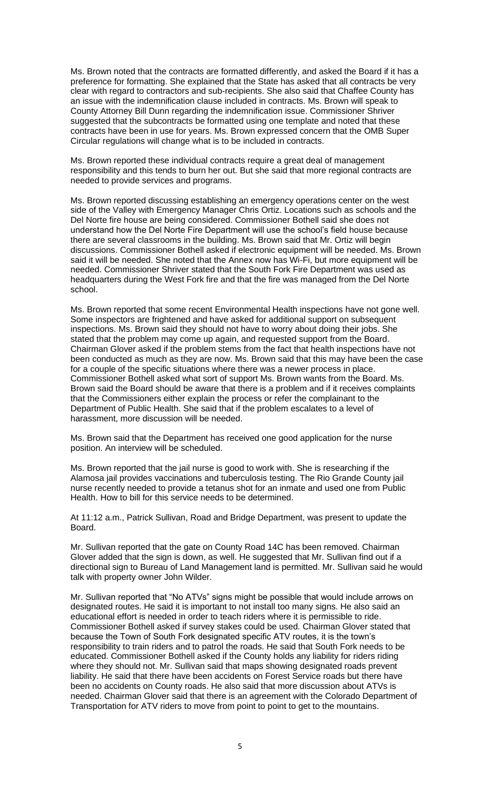Ms. Brown noted that the contracts are formatted differently, and asked the Board if it has a preference for formatting. She explained that the State has asked that all contracts be very clear with regard to contractors and sub-recipients. She also said that Chaffee County has an issue with the indemnification clause included in contracts. Ms. Brown will speak to County Attorney Bill Dunn regarding the indemnification issue. Commissioner Shriver suggested that the subcontracts be formatted using one template and noted that these contracts have been in use for years. Ms. Brown expressed concern that the OMB Super Circular regulations will change what is to be included in contracts.

Ms. Brown reported these individual contracts require a great deal of management responsibility and this tends to burn her out. But she said that more regional contracts are needed to provide services and programs.

Ms. Brown reported discussing establishing an emergency operations center on the west side of the Valley with Emergency Manager Chris Ortiz. Locations such as schools and the Del Norte fire house are being considered. Commissioner Bothell said she does not understand how the Del Norte Fire Department will use the school's field house because there are several classrooms in the building. Ms. Brown said that Mr. Ortiz will begin discussions. Commissioner Bothell asked if electronic equipment will be needed. Ms. Brown said it will be needed. She noted that the Annex now has Wi-Fi, but more equipment will be needed. Commissioner Shriver stated that the South Fork Fire Department was used as headquarters during the West Fork fire and that the fire was managed from the Del Norte school.

Ms. Brown reported that some recent Environmental Health inspections have not gone well. Some inspectors are frightened and have asked for additional support on subsequent inspections. Ms. Brown said they should not have to worry about doing their jobs. She stated that the problem may come up again, and requested support from the Board. Chairman Glover asked if the problem stems from the fact that health inspections have not been conducted as much as they are now. Ms. Brown said that this may have been the case for a couple of the specific situations where there was a newer process in place. Commissioner Bothell asked what sort of support Ms. Brown wants from the Board. Ms. Brown said the Board should be aware that there is a problem and if it receives complaints that the Commissioners either explain the process or refer the complainant to the Department of Public Health. She said that if the problem escalates to a level of harassment, more discussion will be needed.

Ms. Brown said that the Department has received one good application for the nurse position. An interview will be scheduled.

Ms. Brown reported that the jail nurse is good to work with. She is researching if the Alamosa jail provides vaccinations and tuberculosis testing. The Rio Grande County jail nurse recently needed to provide a tetanus shot for an inmate and used one from Public Health. How to bill for this service needs to be determined.

At 11:12 a.m., Patrick Sullivan, Road and Bridge Department, was present to update the Board.

Mr. Sullivan reported that the gate on County Road 14C has been removed. Chairman Glover added that the sign is down, as well. He suggested that Mr. Sullivan find out if a directional sign to Bureau of Land Management land is permitted. Mr. Sullivan said he would talk with property owner John Wilder.

Mr. Sullivan reported that "No ATVs" signs might be possible that would include arrows on designated routes. He said it is important to not install too many signs. He also said an educational effort is needed in order to teach riders where it is permissible to ride. Commissioner Bothell asked if survey stakes could be used. Chairman Glover stated that because the Town of South Fork designated specific ATV routes, it is the town's responsibility to train riders and to patrol the roads. He said that South Fork needs to be educated. Commissioner Bothell asked if the County holds any liability for riders riding where they should not. Mr. Sullivan said that maps showing designated roads prevent liability. He said that there have been accidents on Forest Service roads but there have been no accidents on County roads. He also said that more discussion about ATVs is needed. Chairman Glover said that there is an agreement with the Colorado Department of Transportation for ATV riders to move from point to point to get to the mountains.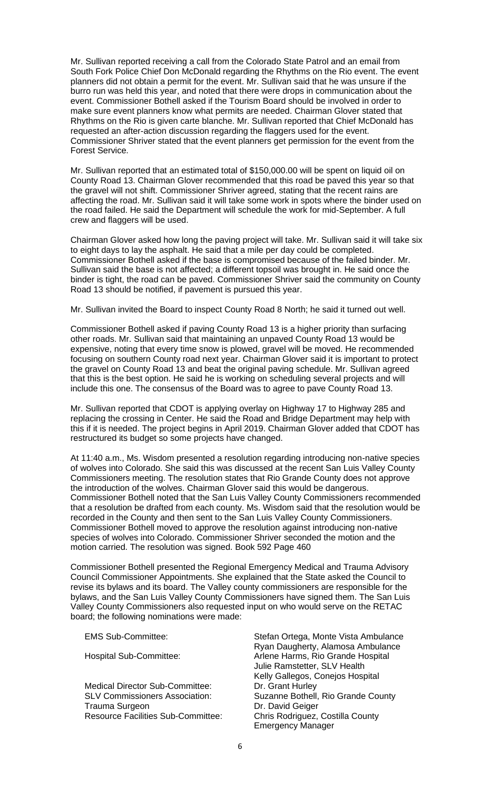Mr. Sullivan reported receiving a call from the Colorado State Patrol and an email from South Fork Police Chief Don McDonald regarding the Rhythms on the Rio event. The event planners did not obtain a permit for the event. Mr. Sullivan said that he was unsure if the burro run was held this year, and noted that there were drops in communication about the event. Commissioner Bothell asked if the Tourism Board should be involved in order to make sure event planners know what permits are needed. Chairman Glover stated that Rhythms on the Rio is given carte blanche. Mr. Sullivan reported that Chief McDonald has requested an after-action discussion regarding the flaggers used for the event. Commissioner Shriver stated that the event planners get permission for the event from the Forest Service.

Mr. Sullivan reported that an estimated total of \$150,000.00 will be spent on liquid oil on County Road 13. Chairman Glover recommended that this road be paved this year so that the gravel will not shift. Commissioner Shriver agreed, stating that the recent rains are affecting the road. Mr. Sullivan said it will take some work in spots where the binder used on the road failed. He said the Department will schedule the work for mid-September. A full crew and flaggers will be used.

Chairman Glover asked how long the paving project will take. Mr. Sullivan said it will take six to eight days to lay the asphalt. He said that a mile per day could be completed. Commissioner Bothell asked if the base is compromised because of the failed binder. Mr. Sullivan said the base is not affected; a different topsoil was brought in. He said once the binder is tight, the road can be paved. Commissioner Shriver said the community on County Road 13 should be notified, if pavement is pursued this year.

Mr. Sullivan invited the Board to inspect County Road 8 North; he said it turned out well.

Commissioner Bothell asked if paving County Road 13 is a higher priority than surfacing other roads. Mr. Sullivan said that maintaining an unpaved County Road 13 would be expensive, noting that every time snow is plowed, gravel will be moved. He recommended focusing on southern County road next year. Chairman Glover said it is important to protect the gravel on County Road 13 and beat the original paving schedule. Mr. Sullivan agreed that this is the best option. He said he is working on scheduling several projects and will include this one. The consensus of the Board was to agree to pave County Road 13.

Mr. Sullivan reported that CDOT is applying overlay on Highway 17 to Highway 285 and replacing the crossing in Center. He said the Road and Bridge Department may help with this if it is needed. The project begins in April 2019. Chairman Glover added that CDOT has restructured its budget so some projects have changed.

At 11:40 a.m., Ms. Wisdom presented a resolution regarding introducing non-native species of wolves into Colorado. She said this was discussed at the recent San Luis Valley County Commissioners meeting. The resolution states that Rio Grande County does not approve the introduction of the wolves. Chairman Glover said this would be dangerous. Commissioner Bothell noted that the San Luis Valley County Commissioners recommended that a resolution be drafted from each county. Ms. Wisdom said that the resolution would be recorded in the County and then sent to the San Luis Valley County Commissioners. Commissioner Bothell moved to approve the resolution against introducing non-native species of wolves into Colorado. Commissioner Shriver seconded the motion and the motion carried. The resolution was signed. Book 592 Page 460

Commissioner Bothell presented the Regional Emergency Medical and Trauma Advisory Council Commissioner Appointments. She explained that the State asked the Council to revise its bylaws and its board. The Valley county commissioners are responsible for the bylaws, and the San Luis Valley County Commissioners have signed them. The San Luis Valley County Commissioners also requested input on who would serve on the RETAC board; the following nominations were made:

Medical Director Sub-Committee: Trauma Surgeon **Dr. David Geiger**<br>Resource Facilities Sub-Committee: Chris Rodriguez, Costilla County Resource Facilities Sub-Committee:

EMS Sub-Committee: Stefan Ortega, Monte Vista Ambulance Ryan Daugherty, Alamosa Ambulance Hospital Sub-Committee: Arlene Harms, Rio Grande Hospital Julie Ramstetter, SLV Health Kelly Gallegos, Conejos Hospital<br>Dr. Grant Hurley SLV Commissioners Association: Suzanne Bothell, Rio Grande County<br>Trauma Surgeon Trauma Surgeon Emergency Manager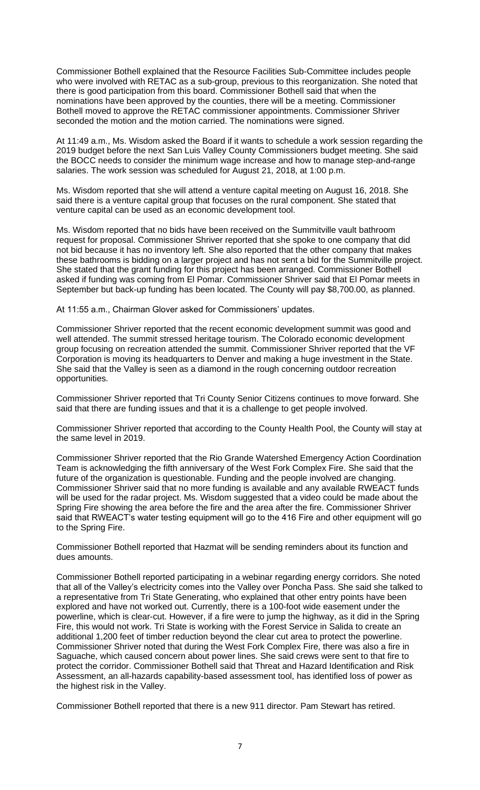Commissioner Bothell explained that the Resource Facilities Sub-Committee includes people who were involved with RETAC as a sub-group, previous to this reorganization. She noted that there is good participation from this board. Commissioner Bothell said that when the nominations have been approved by the counties, there will be a meeting. Commissioner Bothell moved to approve the RETAC commissioner appointments. Commissioner Shriver seconded the motion and the motion carried. The nominations were signed.

At 11:49 a.m., Ms. Wisdom asked the Board if it wants to schedule a work session regarding the 2019 budget before the next San Luis Valley County Commissioners budget meeting. She said the BOCC needs to consider the minimum wage increase and how to manage step-and-range salaries. The work session was scheduled for August 21, 2018, at 1:00 p.m.

Ms. Wisdom reported that she will attend a venture capital meeting on August 16, 2018. She said there is a venture capital group that focuses on the rural component. She stated that venture capital can be used as an economic development tool.

Ms. Wisdom reported that no bids have been received on the Summitville vault bathroom request for proposal. Commissioner Shriver reported that she spoke to one company that did not bid because it has no inventory left. She also reported that the other company that makes these bathrooms is bidding on a larger project and has not sent a bid for the Summitville project. She stated that the grant funding for this project has been arranged. Commissioner Bothell asked if funding was coming from El Pomar. Commissioner Shriver said that El Pomar meets in September but back-up funding has been located. The County will pay \$8,700.00, as planned.

At 11:55 a.m., Chairman Glover asked for Commissioners' updates.

Commissioner Shriver reported that the recent economic development summit was good and well attended. The summit stressed heritage tourism. The Colorado economic development group focusing on recreation attended the summit. Commissioner Shriver reported that the VF Corporation is moving its headquarters to Denver and making a huge investment in the State. She said that the Valley is seen as a diamond in the rough concerning outdoor recreation opportunities.

Commissioner Shriver reported that Tri County Senior Citizens continues to move forward. She said that there are funding issues and that it is a challenge to get people involved.

Commissioner Shriver reported that according to the County Health Pool, the County will stay at the same level in 2019.

Commissioner Shriver reported that the Rio Grande Watershed Emergency Action Coordination Team is acknowledging the fifth anniversary of the West Fork Complex Fire. She said that the future of the organization is questionable. Funding and the people involved are changing. Commissioner Shriver said that no more funding is available and any available RWEACT funds will be used for the radar project. Ms. Wisdom suggested that a video could be made about the Spring Fire showing the area before the fire and the area after the fire. Commissioner Shriver said that RWEACT's water testing equipment will go to the 416 Fire and other equipment will go to the Spring Fire.

Commissioner Bothell reported that Hazmat will be sending reminders about its function and dues amounts.

Commissioner Bothell reported participating in a webinar regarding energy corridors. She noted that all of the Valley's electricity comes into the Valley over Poncha Pass. She said she talked to a representative from Tri State Generating, who explained that other entry points have been explored and have not worked out. Currently, there is a 100-foot wide easement under the powerline, which is clear-cut. However, if a fire were to jump the highway, as it did in the Spring Fire, this would not work. Tri State is working with the Forest Service in Salida to create an additional 1,200 feet of timber reduction beyond the clear cut area to protect the powerline. Commissioner Shriver noted that during the West Fork Complex Fire, there was also a fire in Saguache, which caused concern about power lines. She said crews were sent to that fire to protect the corridor. Commissioner Bothell said that Threat and Hazard Identification and Risk Assessment, an all-hazards capability-based assessment tool, has identified loss of power as the highest risk in the Valley.

Commissioner Bothell reported that there is a new 911 director. Pam Stewart has retired.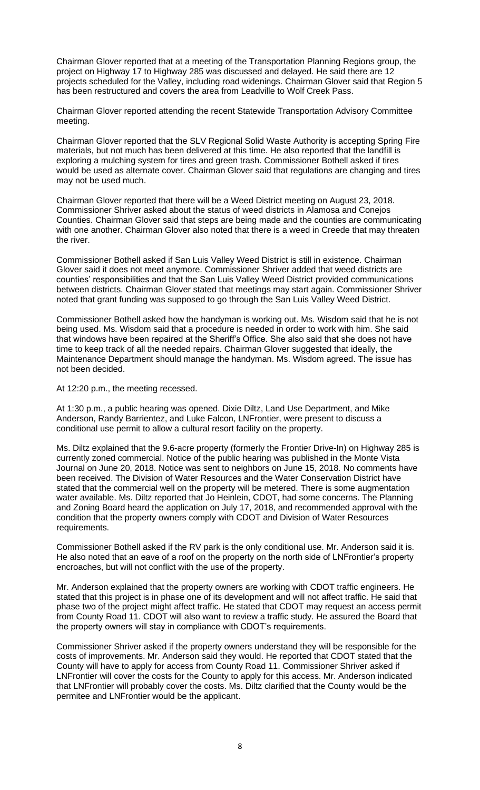Chairman Glover reported that at a meeting of the Transportation Planning Regions group, the project on Highway 17 to Highway 285 was discussed and delayed. He said there are 12 projects scheduled for the Valley, including road widenings. Chairman Glover said that Region 5 has been restructured and covers the area from Leadville to Wolf Creek Pass.

Chairman Glover reported attending the recent Statewide Transportation Advisory Committee meeting.

Chairman Glover reported that the SLV Regional Solid Waste Authority is accepting Spring Fire materials, but not much has been delivered at this time. He also reported that the landfill is exploring a mulching system for tires and green trash. Commissioner Bothell asked if tires would be used as alternate cover. Chairman Glover said that regulations are changing and tires may not be used much.

Chairman Glover reported that there will be a Weed District meeting on August 23, 2018. Commissioner Shriver asked about the status of weed districts in Alamosa and Conejos Counties. Chairman Glover said that steps are being made and the counties are communicating with one another. Chairman Glover also noted that there is a weed in Creede that may threaten the river.

Commissioner Bothell asked if San Luis Valley Weed District is still in existence. Chairman Glover said it does not meet anymore. Commissioner Shriver added that weed districts are counties' responsibilities and that the San Luis Valley Weed District provided communications between districts. Chairman Glover stated that meetings may start again. Commissioner Shriver noted that grant funding was supposed to go through the San Luis Valley Weed District.

Commissioner Bothell asked how the handyman is working out. Ms. Wisdom said that he is not being used. Ms. Wisdom said that a procedure is needed in order to work with him. She said that windows have been repaired at the Sheriff's Office. She also said that she does not have time to keep track of all the needed repairs. Chairman Glover suggested that ideally, the Maintenance Department should manage the handyman. Ms. Wisdom agreed. The issue has not been decided.

At 12:20 p.m., the meeting recessed.

At 1:30 p.m., a public hearing was opened. Dixie Diltz, Land Use Department, and Mike Anderson, Randy Barrientez, and Luke Falcon, LNFrontier, were present to discuss a conditional use permit to allow a cultural resort facility on the property.

Ms. Diltz explained that the 9.6-acre property (formerly the Frontier Drive-In) on Highway 285 is currently zoned commercial. Notice of the public hearing was published in the Monte Vista Journal on June 20, 2018. Notice was sent to neighbors on June 15, 2018. No comments have been received. The Division of Water Resources and the Water Conservation District have stated that the commercial well on the property will be metered. There is some augmentation water available. Ms. Diltz reported that Jo Heinlein, CDOT, had some concerns. The Planning and Zoning Board heard the application on July 17, 2018, and recommended approval with the condition that the property owners comply with CDOT and Division of Water Resources requirements.

Commissioner Bothell asked if the RV park is the only conditional use. Mr. Anderson said it is. He also noted that an eave of a roof on the property on the north side of LNFrontier's property encroaches, but will not conflict with the use of the property.

Mr. Anderson explained that the property owners are working with CDOT traffic engineers. He stated that this project is in phase one of its development and will not affect traffic. He said that phase two of the project might affect traffic. He stated that CDOT may request an access permit from County Road 11. CDOT will also want to review a traffic study. He assured the Board that the property owners will stay in compliance with CDOT's requirements.

Commissioner Shriver asked if the property owners understand they will be responsible for the costs of improvements. Mr. Anderson said they would. He reported that CDOT stated that the County will have to apply for access from County Road 11. Commissioner Shriver asked if LNFrontier will cover the costs for the County to apply for this access. Mr. Anderson indicated that LNFrontier will probably cover the costs. Ms. Diltz clarified that the County would be the permitee and LNFrontier would be the applicant.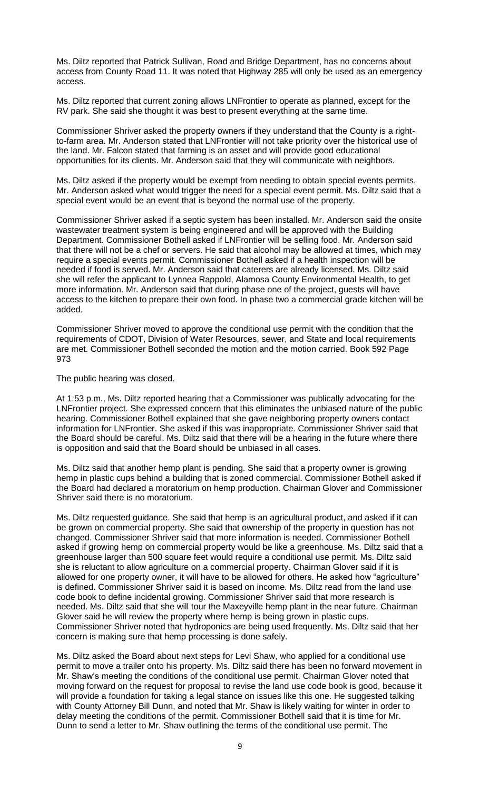Ms. Diltz reported that Patrick Sullivan, Road and Bridge Department, has no concerns about access from County Road 11. It was noted that Highway 285 will only be used as an emergency access.

Ms. Diltz reported that current zoning allows LNFrontier to operate as planned, except for the RV park. She said she thought it was best to present everything at the same time.

Commissioner Shriver asked the property owners if they understand that the County is a rightto-farm area. Mr. Anderson stated that LNFrontier will not take priority over the historical use of the land. Mr. Falcon stated that farming is an asset and will provide good educational opportunities for its clients. Mr. Anderson said that they will communicate with neighbors.

Ms. Diltz asked if the property would be exempt from needing to obtain special events permits. Mr. Anderson asked what would trigger the need for a special event permit. Ms. Diltz said that a special event would be an event that is beyond the normal use of the property.

Commissioner Shriver asked if a septic system has been installed. Mr. Anderson said the onsite wastewater treatment system is being engineered and will be approved with the Building Department. Commissioner Bothell asked if LNFrontier will be selling food. Mr. Anderson said that there will not be a chef or servers. He said that alcohol may be allowed at times, which may require a special events permit. Commissioner Bothell asked if a health inspection will be needed if food is served. Mr. Anderson said that caterers are already licensed. Ms. Diltz said she will refer the applicant to Lynnea Rappold, Alamosa County Environmental Health, to get more information. Mr. Anderson said that during phase one of the project, guests will have access to the kitchen to prepare their own food. In phase two a commercial grade kitchen will be added.

Commissioner Shriver moved to approve the conditional use permit with the condition that the requirements of CDOT, Division of Water Resources, sewer, and State and local requirements are met. Commissioner Bothell seconded the motion and the motion carried. Book 592 Page 973

The public hearing was closed.

At 1:53 p.m., Ms. Diltz reported hearing that a Commissioner was publically advocating for the LNFrontier project. She expressed concern that this eliminates the unbiased nature of the public hearing. Commissioner Bothell explained that she gave neighboring property owners contact information for LNFrontier. She asked if this was inappropriate. Commissioner Shriver said that the Board should be careful. Ms. Diltz said that there will be a hearing in the future where there is opposition and said that the Board should be unbiased in all cases.

Ms. Diltz said that another hemp plant is pending. She said that a property owner is growing hemp in plastic cups behind a building that is zoned commercial. Commissioner Bothell asked if the Board had declared a moratorium on hemp production. Chairman Glover and Commissioner Shriver said there is no moratorium.

Ms. Diltz requested guidance. She said that hemp is an agricultural product, and asked if it can be grown on commercial property. She said that ownership of the property in question has not changed. Commissioner Shriver said that more information is needed. Commissioner Bothell asked if growing hemp on commercial property would be like a greenhouse. Ms. Diltz said that a greenhouse larger than 500 square feet would require a conditional use permit. Ms. Diltz said she is reluctant to allow agriculture on a commercial property. Chairman Glover said if it is allowed for one property owner, it will have to be allowed for others. He asked how "agriculture" is defined. Commissioner Shriver said it is based on income. Ms. Diltz read from the land use code book to define incidental growing. Commissioner Shriver said that more research is needed. Ms. Diltz said that she will tour the Maxeyville hemp plant in the near future. Chairman Glover said he will review the property where hemp is being grown in plastic cups. Commissioner Shriver noted that hydroponics are being used frequently. Ms. Diltz said that her concern is making sure that hemp processing is done safely.

Ms. Diltz asked the Board about next steps for Levi Shaw, who applied for a conditional use permit to move a trailer onto his property. Ms. Diltz said there has been no forward movement in Mr. Shaw's meeting the conditions of the conditional use permit. Chairman Glover noted that moving forward on the request for proposal to revise the land use code book is good, because it will provide a foundation for taking a legal stance on issues like this one. He suggested talking with County Attorney Bill Dunn, and noted that Mr. Shaw is likely waiting for winter in order to delay meeting the conditions of the permit. Commissioner Bothell said that it is time for Mr. Dunn to send a letter to Mr. Shaw outlining the terms of the conditional use permit. The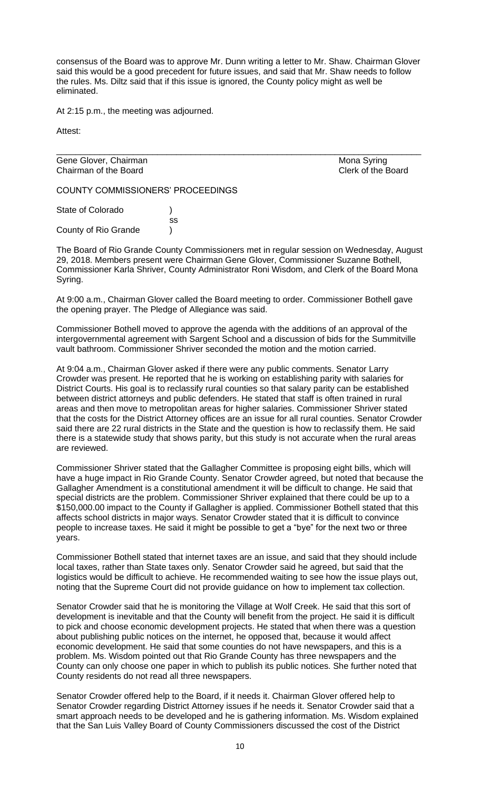consensus of the Board was to approve Mr. Dunn writing a letter to Mr. Shaw. Chairman Glover said this would be a good precedent for future issues, and said that Mr. Shaw needs to follow the rules. Ms. Diltz said that if this issue is ignored, the County policy might as well be eliminated.

\_\_\_\_\_\_\_\_\_\_\_\_\_\_\_\_\_\_\_\_\_\_\_\_\_\_\_\_\_\_\_\_\_\_\_\_\_\_\_\_\_\_\_\_\_\_\_\_\_\_\_\_\_\_\_\_\_\_\_\_\_\_\_\_\_\_\_\_\_\_\_\_\_\_\_\_

At 2:15 p.m., the meeting was adjourned.

Attest:

Gene Glover, Chairman Mona Syring Chairman of the Board **Chairman of the Board** Chairman of the Board

COUNTY COMMISSIONERS' PROCEEDINGS

State of Colorado (a) ss County of Rio Grande )

The Board of Rio Grande County Commissioners met in regular session on Wednesday, August 29, 2018. Members present were Chairman Gene Glover, Commissioner Suzanne Bothell, Commissioner Karla Shriver, County Administrator Roni Wisdom, and Clerk of the Board Mona Syring.

At 9:00 a.m., Chairman Glover called the Board meeting to order. Commissioner Bothell gave the opening prayer. The Pledge of Allegiance was said.

Commissioner Bothell moved to approve the agenda with the additions of an approval of the intergovernmental agreement with Sargent School and a discussion of bids for the Summitville vault bathroom. Commissioner Shriver seconded the motion and the motion carried.

At 9:04 a.m., Chairman Glover asked if there were any public comments. Senator Larry Crowder was present. He reported that he is working on establishing parity with salaries for District Courts. His goal is to reclassify rural counties so that salary parity can be established between district attorneys and public defenders. He stated that staff is often trained in rural areas and then move to metropolitan areas for higher salaries. Commissioner Shriver stated that the costs for the District Attorney offices are an issue for all rural counties. Senator Crowder said there are 22 rural districts in the State and the question is how to reclassify them. He said there is a statewide study that shows parity, but this study is not accurate when the rural areas are reviewed.

Commissioner Shriver stated that the Gallagher Committee is proposing eight bills, which will have a huge impact in Rio Grande County. Senator Crowder agreed, but noted that because the Gallagher Amendment is a constitutional amendment it will be difficult to change. He said that special districts are the problem. Commissioner Shriver explained that there could be up to a \$150,000.00 impact to the County if Gallagher is applied. Commissioner Bothell stated that this affects school districts in major ways. Senator Crowder stated that it is difficult to convince people to increase taxes. He said it might be possible to get a "bye" for the next two or three years.

Commissioner Bothell stated that internet taxes are an issue, and said that they should include local taxes, rather than State taxes only. Senator Crowder said he agreed, but said that the logistics would be difficult to achieve. He recommended waiting to see how the issue plays out, noting that the Supreme Court did not provide guidance on how to implement tax collection.

Senator Crowder said that he is monitoring the Village at Wolf Creek. He said that this sort of development is inevitable and that the County will benefit from the project. He said it is difficult to pick and choose economic development projects. He stated that when there was a question about publishing public notices on the internet, he opposed that, because it would affect economic development. He said that some counties do not have newspapers, and this is a problem. Ms. Wisdom pointed out that Rio Grande County has three newspapers and the County can only choose one paper in which to publish its public notices. She further noted that County residents do not read all three newspapers.

Senator Crowder offered help to the Board, if it needs it. Chairman Glover offered help to Senator Crowder regarding District Attorney issues if he needs it. Senator Crowder said that a smart approach needs to be developed and he is gathering information. Ms. Wisdom explained that the San Luis Valley Board of County Commissioners discussed the cost of the District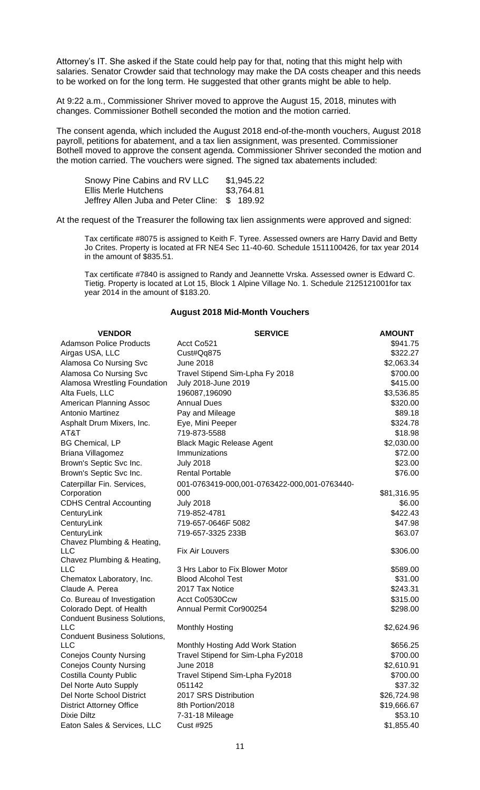Attorney's IT. She asked if the State could help pay for that, noting that this might help with salaries. Senator Crowder said that technology may make the DA costs cheaper and this needs to be worked on for the long term. He suggested that other grants might be able to help.

At 9:22 a.m., Commissioner Shriver moved to approve the August 15, 2018, minutes with changes. Commissioner Bothell seconded the motion and the motion carried.

The consent agenda, which included the August 2018 end-of-the-month vouchers, August 2018 payroll, petitions for abatement, and a tax lien assignment, was presented. Commissioner Bothell moved to approve the consent agenda. Commissioner Shriver seconded the motion and the motion carried. The vouchers were signed. The signed tax abatements included:

| Snowy Pine Cabins and RV LLC                  | \$1,945.22 |
|-----------------------------------------------|------------|
| Ellis Merle Hutchens                          | \$3,764.81 |
| Jeffrey Allen Juba and Peter Cline: \$ 189.92 |            |

At the request of the Treasurer the following tax lien assignments were approved and signed:

Tax certificate #8075 is assigned to Keith F. Tyree. Assessed owners are Harry David and Betty Jo Crites. Property is located at FR NE4 Sec 11-40-60. Schedule 1511100426, for tax year 2014 in the amount of \$835.51.

Tax certificate #7840 is assigned to Randy and Jeannette Vrska. Assessed owner is Edward C. Tietig. Property is located at Lot 15, Block 1 Alpine Village No. 1. Schedule 2125121001for tax year 2014 in the amount of \$183.20.

## **August 2018 Mid-Month Vouchers**

| <b>Adamson Police Products</b><br>Acct Co521<br>\$941.75<br>Airgas USA, LLC<br>\$322.27<br>Cust#Qq875<br>Alamosa Co Nursing Svc<br><b>June 2018</b><br>\$2,063.34<br>Alamosa Co Nursing Svc<br>Travel Stipend Sim-Lpha Fy 2018<br>\$700.00<br>Alamosa Wrestling Foundation<br>July 2018-June 2019<br>\$415.00<br>196087,196090<br>\$3,536.85<br>Alta Fuels, LLC<br>American Planning Assoc<br><b>Annual Dues</b><br>\$320.00<br><b>Antonio Martinez</b><br>\$89.18<br>Pay and Mileage<br>\$324.78<br>Asphalt Drum Mixers, Inc.<br>Eye, Mini Peeper<br>AT&T<br>719-873-5588<br>\$18.98<br>\$2,030.00<br><b>BG Chemical, LP</b><br><b>Black Magic Release Agent</b><br>Briana Villagomez<br>Immunizations<br>\$72.00<br>Brown's Septic Svc Inc.<br><b>July 2018</b><br>\$23.00<br>Brown's Septic Svc Inc.<br>\$76.00<br>Rental Portable<br>Caterpillar Fin. Services,<br>001-0763419-000,001-0763422-000,001-0763440-<br>Corporation<br>000<br>\$81,316.95<br><b>CDHS Central Accounting</b><br><b>July 2018</b><br>\$6.00<br>CenturyLink<br>719-852-4781<br>\$422.43<br>\$47.98<br>CenturyLink<br>719-657-0646F 5082<br>CenturyLink<br>719-657-3325 233B<br>\$63.07<br>Chavez Plumbing & Heating,<br><b>LLC</b><br>\$306.00<br><b>Fix Air Louvers</b><br>Chavez Plumbing & Heating,<br><b>LLC</b><br>\$589.00<br>3 Hrs Labor to Fix Blower Motor<br><b>Blood Alcohol Test</b><br>Chematox Laboratory, Inc.<br>\$31.00 | <b>VENDOR</b> | <b>SERVICE</b> | <b>AMOUNT</b> |
|----------------------------------------------------------------------------------------------------------------------------------------------------------------------------------------------------------------------------------------------------------------------------------------------------------------------------------------------------------------------------------------------------------------------------------------------------------------------------------------------------------------------------------------------------------------------------------------------------------------------------------------------------------------------------------------------------------------------------------------------------------------------------------------------------------------------------------------------------------------------------------------------------------------------------------------------------------------------------------------------------------------------------------------------------------------------------------------------------------------------------------------------------------------------------------------------------------------------------------------------------------------------------------------------------------------------------------------------------------------------------------------------------------------------|---------------|----------------|---------------|
|                                                                                                                                                                                                                                                                                                                                                                                                                                                                                                                                                                                                                                                                                                                                                                                                                                                                                                                                                                                                                                                                                                                                                                                                                                                                                                                                                                                                                      |               |                |               |
|                                                                                                                                                                                                                                                                                                                                                                                                                                                                                                                                                                                                                                                                                                                                                                                                                                                                                                                                                                                                                                                                                                                                                                                                                                                                                                                                                                                                                      |               |                |               |
|                                                                                                                                                                                                                                                                                                                                                                                                                                                                                                                                                                                                                                                                                                                                                                                                                                                                                                                                                                                                                                                                                                                                                                                                                                                                                                                                                                                                                      |               |                |               |
|                                                                                                                                                                                                                                                                                                                                                                                                                                                                                                                                                                                                                                                                                                                                                                                                                                                                                                                                                                                                                                                                                                                                                                                                                                                                                                                                                                                                                      |               |                |               |
|                                                                                                                                                                                                                                                                                                                                                                                                                                                                                                                                                                                                                                                                                                                                                                                                                                                                                                                                                                                                                                                                                                                                                                                                                                                                                                                                                                                                                      |               |                |               |
|                                                                                                                                                                                                                                                                                                                                                                                                                                                                                                                                                                                                                                                                                                                                                                                                                                                                                                                                                                                                                                                                                                                                                                                                                                                                                                                                                                                                                      |               |                |               |
|                                                                                                                                                                                                                                                                                                                                                                                                                                                                                                                                                                                                                                                                                                                                                                                                                                                                                                                                                                                                                                                                                                                                                                                                                                                                                                                                                                                                                      |               |                |               |
|                                                                                                                                                                                                                                                                                                                                                                                                                                                                                                                                                                                                                                                                                                                                                                                                                                                                                                                                                                                                                                                                                                                                                                                                                                                                                                                                                                                                                      |               |                |               |
|                                                                                                                                                                                                                                                                                                                                                                                                                                                                                                                                                                                                                                                                                                                                                                                                                                                                                                                                                                                                                                                                                                                                                                                                                                                                                                                                                                                                                      |               |                |               |
|                                                                                                                                                                                                                                                                                                                                                                                                                                                                                                                                                                                                                                                                                                                                                                                                                                                                                                                                                                                                                                                                                                                                                                                                                                                                                                                                                                                                                      |               |                |               |
|                                                                                                                                                                                                                                                                                                                                                                                                                                                                                                                                                                                                                                                                                                                                                                                                                                                                                                                                                                                                                                                                                                                                                                                                                                                                                                                                                                                                                      |               |                |               |
|                                                                                                                                                                                                                                                                                                                                                                                                                                                                                                                                                                                                                                                                                                                                                                                                                                                                                                                                                                                                                                                                                                                                                                                                                                                                                                                                                                                                                      |               |                |               |
|                                                                                                                                                                                                                                                                                                                                                                                                                                                                                                                                                                                                                                                                                                                                                                                                                                                                                                                                                                                                                                                                                                                                                                                                                                                                                                                                                                                                                      |               |                |               |
|                                                                                                                                                                                                                                                                                                                                                                                                                                                                                                                                                                                                                                                                                                                                                                                                                                                                                                                                                                                                                                                                                                                                                                                                                                                                                                                                                                                                                      |               |                |               |
|                                                                                                                                                                                                                                                                                                                                                                                                                                                                                                                                                                                                                                                                                                                                                                                                                                                                                                                                                                                                                                                                                                                                                                                                                                                                                                                                                                                                                      |               |                |               |
|                                                                                                                                                                                                                                                                                                                                                                                                                                                                                                                                                                                                                                                                                                                                                                                                                                                                                                                                                                                                                                                                                                                                                                                                                                                                                                                                                                                                                      |               |                |               |
|                                                                                                                                                                                                                                                                                                                                                                                                                                                                                                                                                                                                                                                                                                                                                                                                                                                                                                                                                                                                                                                                                                                                                                                                                                                                                                                                                                                                                      |               |                |               |
|                                                                                                                                                                                                                                                                                                                                                                                                                                                                                                                                                                                                                                                                                                                                                                                                                                                                                                                                                                                                                                                                                                                                                                                                                                                                                                                                                                                                                      |               |                |               |
|                                                                                                                                                                                                                                                                                                                                                                                                                                                                                                                                                                                                                                                                                                                                                                                                                                                                                                                                                                                                                                                                                                                                                                                                                                                                                                                                                                                                                      |               |                |               |
|                                                                                                                                                                                                                                                                                                                                                                                                                                                                                                                                                                                                                                                                                                                                                                                                                                                                                                                                                                                                                                                                                                                                                                                                                                                                                                                                                                                                                      |               |                |               |
|                                                                                                                                                                                                                                                                                                                                                                                                                                                                                                                                                                                                                                                                                                                                                                                                                                                                                                                                                                                                                                                                                                                                                                                                                                                                                                                                                                                                                      |               |                |               |
|                                                                                                                                                                                                                                                                                                                                                                                                                                                                                                                                                                                                                                                                                                                                                                                                                                                                                                                                                                                                                                                                                                                                                                                                                                                                                                                                                                                                                      |               |                |               |
|                                                                                                                                                                                                                                                                                                                                                                                                                                                                                                                                                                                                                                                                                                                                                                                                                                                                                                                                                                                                                                                                                                                                                                                                                                                                                                                                                                                                                      |               |                |               |
|                                                                                                                                                                                                                                                                                                                                                                                                                                                                                                                                                                                                                                                                                                                                                                                                                                                                                                                                                                                                                                                                                                                                                                                                                                                                                                                                                                                                                      |               |                |               |
|                                                                                                                                                                                                                                                                                                                                                                                                                                                                                                                                                                                                                                                                                                                                                                                                                                                                                                                                                                                                                                                                                                                                                                                                                                                                                                                                                                                                                      |               |                |               |
| Claude A. Perea<br>2017 Tax Notice<br>\$243.31                                                                                                                                                                                                                                                                                                                                                                                                                                                                                                                                                                                                                                                                                                                                                                                                                                                                                                                                                                                                                                                                                                                                                                                                                                                                                                                                                                       |               |                |               |
| Co. Bureau of Investigation<br>Acct Co0530Ccw<br>\$315.00                                                                                                                                                                                                                                                                                                                                                                                                                                                                                                                                                                                                                                                                                                                                                                                                                                                                                                                                                                                                                                                                                                                                                                                                                                                                                                                                                            |               |                |               |
| Colorado Dept. of Health<br>Annual Permit Cor900254<br>\$298.00                                                                                                                                                                                                                                                                                                                                                                                                                                                                                                                                                                                                                                                                                                                                                                                                                                                                                                                                                                                                                                                                                                                                                                                                                                                                                                                                                      |               |                |               |
| <b>Conduent Business Solutions,</b>                                                                                                                                                                                                                                                                                                                                                                                                                                                                                                                                                                                                                                                                                                                                                                                                                                                                                                                                                                                                                                                                                                                                                                                                                                                                                                                                                                                  |               |                |               |
| <b>LLC</b><br><b>Monthly Hosting</b><br>\$2,624.96<br><b>Conduent Business Solutions,</b>                                                                                                                                                                                                                                                                                                                                                                                                                                                                                                                                                                                                                                                                                                                                                                                                                                                                                                                                                                                                                                                                                                                                                                                                                                                                                                                            |               |                |               |
| <b>LLC</b><br>Monthly Hosting Add Work Station<br>\$656.25                                                                                                                                                                                                                                                                                                                                                                                                                                                                                                                                                                                                                                                                                                                                                                                                                                                                                                                                                                                                                                                                                                                                                                                                                                                                                                                                                           |               |                |               |
| <b>Conejos County Nursing</b><br>Travel Stipend for Sim-Lpha Fy2018<br>\$700.00                                                                                                                                                                                                                                                                                                                                                                                                                                                                                                                                                                                                                                                                                                                                                                                                                                                                                                                                                                                                                                                                                                                                                                                                                                                                                                                                      |               |                |               |
| June 2018<br><b>Conejos County Nursing</b><br>\$2,610.91                                                                                                                                                                                                                                                                                                                                                                                                                                                                                                                                                                                                                                                                                                                                                                                                                                                                                                                                                                                                                                                                                                                                                                                                                                                                                                                                                             |               |                |               |
| <b>Costilla County Public</b><br>Travel Stipend Sim-Lpha Fy2018<br>\$700.00                                                                                                                                                                                                                                                                                                                                                                                                                                                                                                                                                                                                                                                                                                                                                                                                                                                                                                                                                                                                                                                                                                                                                                                                                                                                                                                                          |               |                |               |
| Del Norte Auto Supply<br>051142<br>\$37.32                                                                                                                                                                                                                                                                                                                                                                                                                                                                                                                                                                                                                                                                                                                                                                                                                                                                                                                                                                                                                                                                                                                                                                                                                                                                                                                                                                           |               |                |               |
| Del Norte School District<br>2017 SRS Distribution<br>\$26,724.98                                                                                                                                                                                                                                                                                                                                                                                                                                                                                                                                                                                                                                                                                                                                                                                                                                                                                                                                                                                                                                                                                                                                                                                                                                                                                                                                                    |               |                |               |
| <b>District Attorney Office</b><br>8th Portion/2018<br>\$19,666.67                                                                                                                                                                                                                                                                                                                                                                                                                                                                                                                                                                                                                                                                                                                                                                                                                                                                                                                                                                                                                                                                                                                                                                                                                                                                                                                                                   |               |                |               |
| \$53.10<br>Dixie Diltz<br>7-31-18 Mileage                                                                                                                                                                                                                                                                                                                                                                                                                                                                                                                                                                                                                                                                                                                                                                                                                                                                                                                                                                                                                                                                                                                                                                                                                                                                                                                                                                            |               |                |               |
| Eaton Sales & Services, LLC<br>Cust #925<br>\$1,855.40                                                                                                                                                                                                                                                                                                                                                                                                                                                                                                                                                                                                                                                                                                                                                                                                                                                                                                                                                                                                                                                                                                                                                                                                                                                                                                                                                               |               |                |               |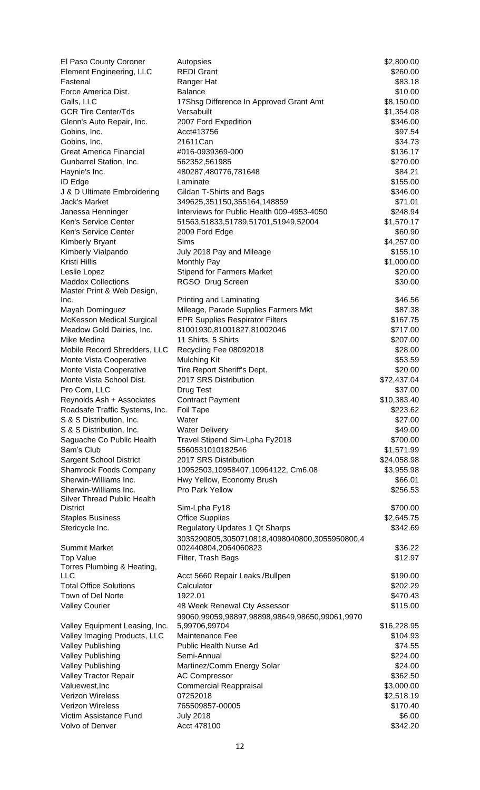| El Paso County Coroner                                      | Autopsies                                                             | \$2,800.00              |
|-------------------------------------------------------------|-----------------------------------------------------------------------|-------------------------|
| <b>Element Engineering, LLC</b>                             | <b>REDI Grant</b>                                                     | \$260.00                |
| Fastenal                                                    | Ranger Hat                                                            | \$83.18                 |
| Force America Dist.                                         | <b>Balance</b>                                                        | \$10.00                 |
| Galls, LLC                                                  | 17Shsg Difference In Approved Grant Amt                               | \$8,150.00              |
| <b>GCR Tire Center/Tds</b>                                  | Versabuilt                                                            | \$1,354.08              |
| Glenn's Auto Repair, Inc.                                   | 2007 Ford Expedition                                                  | \$346.00                |
| Gobins, Inc.                                                | Acct#13756                                                            | \$97.54                 |
| Gobins, Inc.                                                | 21611Can                                                              | \$34.73                 |
| <b>Great America Financial</b>                              | #016-0939369-000                                                      | \$136.17                |
| Gunbarrel Station, Inc.                                     | 562352,561985                                                         | \$270.00                |
| Haynie's Inc.                                               | 480287,480776,781648<br>Laminate                                      | \$84.21<br>\$155.00     |
| <b>ID Edge</b><br>J & D Ultimate Embroidering               | Gildan T-Shirts and Bags                                              | \$346.00                |
| Jack's Market                                               | 349625,351150,355164,148859                                           | \$71.01                 |
| Janessa Henninger                                           | Interviews for Public Health 009-4953-4050                            | \$248.94                |
| Ken's Service Center                                        | 51563,51833,51789,51701,51949,52004                                   | \$1,570.17              |
| Ken's Service Center                                        | 2009 Ford Edge                                                        | \$60.90                 |
| <b>Kimberly Bryant</b>                                      | Sims                                                                  | \$4,257.00              |
| Kimberly Vialpando                                          | July 2018 Pay and Mileage                                             | \$155.10                |
| Kristi Hillis                                               | Monthly Pay                                                           | \$1,000.00              |
| Leslie Lopez                                                | <b>Stipend for Farmers Market</b>                                     | \$20.00                 |
| <b>Maddox Collections</b>                                   | RGSO Drug Screen                                                      | \$30.00                 |
| Master Print & Web Design,                                  |                                                                       |                         |
| Inc.                                                        | Printing and Laminating                                               | \$46.56                 |
| Mayah Dominguez                                             | Mileage, Parade Supplies Farmers Mkt                                  | \$87.38                 |
| <b>McKesson Medical Surgical</b>                            | <b>EPR Supplies Respirator Filters</b>                                | \$167.75                |
| Meadow Gold Dairies, Inc.                                   | 81001930,81001827,81002046                                            | \$717.00                |
| Mike Medina                                                 | 11 Shirts, 5 Shirts                                                   | \$207.00                |
| Mobile Record Shredders, LLC                                | Recycling Fee 08092018                                                | \$28.00                 |
| Monte Vista Cooperative                                     | <b>Mulching Kit</b>                                                   | \$53.59                 |
| Monte Vista Cooperative                                     | Tire Report Sheriff's Dept.                                           | \$20.00                 |
| Monte Vista School Dist.                                    | 2017 SRS Distribution                                                 | \$72,437.04<br>\$37.00  |
| Pro Com, LLC<br>Reynolds Ash + Associates                   | Drug Test<br><b>Contract Payment</b>                                  | \$10,383.40             |
| Roadsafe Traffic Systems, Inc.                              | Foil Tape                                                             | \$223.62                |
| S & S Distribution, Inc.                                    | Water                                                                 | \$27.00                 |
| S & S Distribution, Inc.                                    | <b>Water Delivery</b>                                                 | \$49.00                 |
| Saguache Co Public Health                                   | Travel Stipend Sim-Lpha Fy2018                                        | \$700.00                |
| Sam's Club                                                  | 5560531010182546                                                      | \$1,571.99              |
| <b>Sargent School District</b>                              | 2017 SRS Distribution                                                 | \$24,058.98             |
| <b>Shamrock Foods Company</b>                               | 10952503,10958407,10964122, Cm6.08                                    | \$3,955.98              |
| Sherwin-Williams Inc.                                       | Hwy Yellow, Economy Brush                                             | \$66.01                 |
| Sherwin-Williams Inc.<br><b>Silver Thread Public Health</b> | Pro Park Yellow                                                       | \$256.53                |
| <b>District</b>                                             | Sim-Lpha Fy18                                                         | \$700.00                |
| <b>Staples Business</b>                                     | <b>Office Supplies</b>                                                | \$2,645.75              |
| Stericycle Inc.                                             | Regulatory Updates 1 Qt Sharps                                        | \$342.69                |
| <b>Summit Market</b>                                        | 3035290805,3050710818,4098040800,3055950800,4<br>002440804,2064060823 | \$36.22                 |
| <b>Top Value</b>                                            | Filter, Trash Bags                                                    | \$12.97                 |
| Torres Plumbing & Heating,                                  |                                                                       |                         |
| <b>LLC</b>                                                  | Acct 5660 Repair Leaks / Bullpen                                      | \$190.00                |
| <b>Total Office Solutions</b>                               | Calculator                                                            | \$202.29                |
| Town of Del Norte                                           | 1922.01                                                               | \$470.43                |
| <b>Valley Courier</b>                                       | 48 Week Renewal Cty Assessor                                          | \$115.00                |
|                                                             | 99060,99059,98897,98898,98649,98650,99061,9970                        |                         |
| Valley Equipment Leasing, Inc.                              | 5,99706,99704<br>Maintenance Fee                                      | \$16,228.95<br>\$104.93 |
| Valley Imaging Products, LLC<br>Valley Publishing           | Public Health Nurse Ad                                                | \$74.55                 |
| <b>Valley Publishing</b>                                    | Semi-Annual                                                           | \$224.00                |
| <b>Valley Publishing</b>                                    | Martinez/Comm Energy Solar                                            | \$24.00                 |
| Valley Tractor Repair                                       | <b>AC Compressor</b>                                                  | \$362.50                |
| Valuewest, Inc                                              | <b>Commercial Reappraisal</b>                                         | \$3,000.00              |
| <b>Verizon Wireless</b>                                     | 07252018                                                              | \$2,518.19              |
| <b>Verizon Wireless</b>                                     | 765509857-00005                                                       | \$170.40                |
| Victim Assistance Fund                                      | <b>July 2018</b>                                                      | \$6.00                  |
| Volvo of Denver                                             | Acct 478100                                                           | \$342.20                |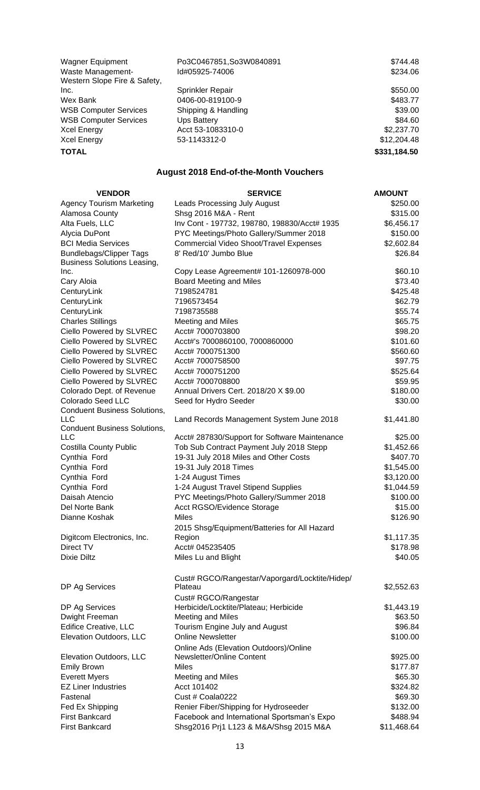| <b>Wagner Equipment</b>      | Po3C0467851, So3W0840891 | \$744.48     |
|------------------------------|--------------------------|--------------|
| Waste Management-            | Id#05925-74006           | \$234.06     |
| Western Slope Fire & Safety, |                          |              |
| Inc.                         | <b>Sprinkler Repair</b>  | \$550.00     |
| Wex Bank                     | 0406-00-819100-9         | \$483.77     |
| <b>WSB Computer Services</b> | Shipping & Handling      | \$39.00      |
| <b>WSB Computer Services</b> | Ups Battery              | \$84.60      |
| <b>Xcel Energy</b>           | Acct 53-1083310-0        | \$2,237.70   |
| <b>Xcel Energy</b>           | 53-1143312-0             | \$12,204.48  |
| <b>TOTAL</b>                 |                          | \$331,184.50 |

## **August 2018 End-of-the-Month Vouchers**

| <b>VENDOR</b>                       | <b>SERVICE</b>                                 | <b>AMOUNT</b> |
|-------------------------------------|------------------------------------------------|---------------|
| <b>Agency Tourism Marketing</b>     | <b>Leads Processing July August</b>            | \$250.00      |
| Alamosa County                      | Shsg 2016 M&A - Rent                           | \$315.00      |
| Alta Fuels, LLC                     | Inv Cont - 197732, 198780, 198830/Acct# 1935   | \$6,456.17    |
| Alycia DuPont                       | PYC Meetings/Photo Gallery/Summer 2018         | \$150.00      |
| <b>BCI Media Services</b>           | Commercial Video Shoot/Travel Expenses         | \$2,602.84    |
| <b>Bundlebags/Clipper Tags</b>      | 8' Red/10' Jumbo Blue                          | \$26.84       |
| <b>Business Solutions Leasing,</b>  |                                                |               |
| Inc.                                | Copy Lease Agreement# 101-1260978-000          | \$60.10       |
| Cary Aloia                          | Board Meeting and Miles                        | \$73.40       |
| CenturyLink                         | 7198524781                                     | \$425.48      |
| CenturyLink                         | 7196573454                                     | \$62.79       |
| CenturyLink                         | 7198735588                                     | \$55.74       |
| <b>Charles Stillings</b>            | <b>Meeting and Miles</b>                       | \$65.75       |
| Ciello Powered by SLVREC            | Acct# 7000703800                               | \$98.20       |
| Ciello Powered by SLVREC            | Acct#'s 7000860100, 7000860000                 | \$101.60      |
| Ciello Powered by SLVREC            | Acct# 7000751300                               | \$560.60      |
| Ciello Powered by SLVREC            | Acct# 7000758500                               | \$97.75       |
| Ciello Powered by SLVREC            | Acct# 7000751200                               | \$525.64      |
| Ciello Powered by SLVREC            | Acct# 7000708800                               | \$59.95       |
| Colorado Dept. of Revenue           | Annual Drivers Cert. 2018/20 X \$9.00          | \$180.00      |
| <b>Colorado Seed LLC</b>            | Seed for Hydro Seeder                          | \$30.00       |
| <b>Conduent Business Solutions,</b> |                                                |               |
| <b>LLC</b>                          | Land Records Management System June 2018       | \$1,441.80    |
| <b>Conduent Business Solutions,</b> |                                                |               |
| <b>LLC</b>                          | Acct# 287830/Support for Software Maintenance  | \$25.00       |
| <b>Costilla County Public</b>       | Tob Sub Contract Payment July 2018 Stepp       | \$1,452.66    |
| Cynthia Ford                        | 19-31 July 2018 Miles and Other Costs          | \$407.70      |
| Cynthia Ford                        | 19-31 July 2018 Times                          | \$1,545.00    |
| Cynthia Ford                        | 1-24 August Times                              | \$3,120.00    |
| Cynthia Ford                        | 1-24 August Travel Stipend Supplies            | \$1,044.59    |
| Daisah Atencio                      | PYC Meetings/Photo Gallery/Summer 2018         | \$100.00      |
| Del Norte Bank                      | Acct RGSO/Evidence Storage                     | \$15.00       |
| Dianne Koshak                       | <b>Miles</b>                                   | \$126.90      |
|                                     | 2015 Shsg/Equipment/Batteries for All Hazard   |               |
| Digitcom Electronics, Inc.          | Region                                         | \$1,117.35    |
| Direct TV                           | Acct# 045235405                                | \$178.98      |
| <b>Dixie Diltz</b>                  | Miles Lu and Blight                            | \$40.05       |
|                                     | Cust# RGCO/Rangestar/Vaporgard/Locktite/Hidep/ |               |
| DP Ag Services                      | Plateau                                        | \$2,552.63    |
|                                     | Cust# RGCO/Rangestar                           |               |
| DP Ag Services                      | Herbicide/Locktite/Plateau; Herbicide          | \$1,443.19    |
| Dwight Freeman                      | <b>Meeting and Miles</b>                       | \$63.50       |
| <b>Edifice Creative, LLC</b>        | Tourism Engine July and August                 | \$96.84       |
| Elevation Outdoors, LLC             | <b>Online Newsletter</b>                       | \$100.00      |
|                                     | Online Ads (Elevation Outdoors)/Online         |               |
| Elevation Outdoors, LLC             | Newsletter/Online Content                      | \$925.00      |
| <b>Emily Brown</b>                  | <b>Miles</b>                                   | \$177.87      |
| <b>Everett Myers</b>                | <b>Meeting and Miles</b>                       | \$65.30       |
| <b>EZ Liner Industries</b>          | Acct 101402                                    | \$324.82      |
| Fastenal                            | Cust # Coala0222                               | \$69.30       |
| Fed Ex Shipping                     | Renier Fiber/Shipping for Hydroseeder          | \$132.00      |
| <b>First Bankcard</b>               | Facebook and International Sportsman's Expo    | \$488.94      |
| <b>First Bankcard</b>               | Shsg2016 Prj1 L123 & M&A/Shsg 2015 M&A         | \$11,468.64   |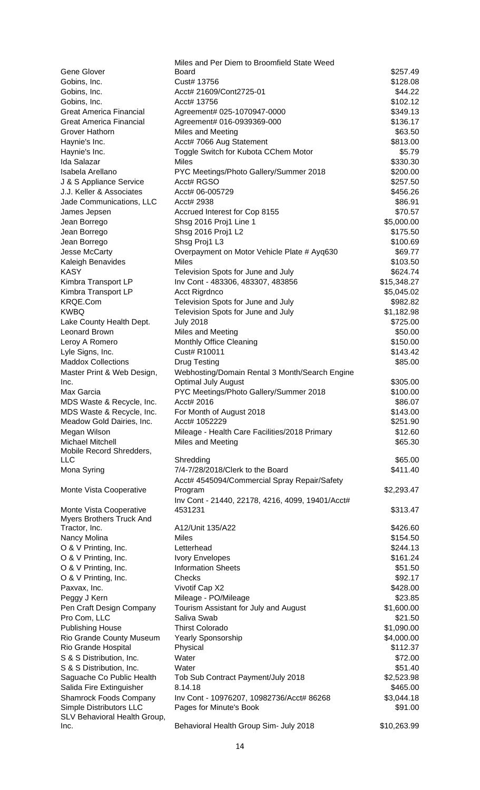|                                                     | Miles and Per Diem to Broomfield State Weed      |                     |
|-----------------------------------------------------|--------------------------------------------------|---------------------|
| Gene Glover                                         | Board                                            | \$257.49            |
| Gobins, Inc.                                        | Cust# 13756                                      | \$128.08            |
| Gobins, Inc.                                        | Acct# 21609/Cont2725-01                          | \$44.22             |
| Gobins, Inc.                                        | Acct# 13756                                      | \$102.12            |
| <b>Great America Financial</b>                      | Agreement# 025-1070947-0000                      | \$349.13            |
| <b>Great America Financial</b>                      | Agreement# 016-0939369-000                       | \$136.17            |
| Grover Hathorn                                      | Miles and Meeting                                | \$63.50             |
| Haynie's Inc.                                       | Acct# 7066 Aug Statement                         | \$813.00            |
| Haynie's Inc.                                       | Toggle Switch for Kubota CChem Motor             | \$5.79              |
| <b>Ida Salazar</b>                                  | <b>Miles</b>                                     | \$330.30            |
| Isabela Arellano                                    | PYC Meetings/Photo Gallery/Summer 2018           | \$200.00            |
| J & S Appliance Service                             | Acct# RGSO                                       | \$257.50            |
| J.J. Keller & Associates                            | Acct# 06-005729                                  | \$456.26            |
| Jade Communications, LLC                            | Acct# 2938                                       | \$86.91             |
| James Jepsen                                        | Accrued Interest for Cop 8155                    | \$70.57             |
| Jean Borrego                                        | Shsg 2016 Proj1 Line 1                           | \$5,000.00          |
| Jean Borrego                                        | Shsg 2016 Proj1 L2                               | \$175.50            |
| Jean Borrego                                        | Shsg Proj1 L3                                    | \$100.69            |
| Jesse McCarty                                       | Overpayment on Motor Vehicle Plate # Ayq630      | \$69.77             |
| Kaleigh Benavides                                   | <b>Miles</b>                                     | \$103.50            |
| <b>KASY</b>                                         | Television Spots for June and July               | \$624.74            |
| Kimbra Transport LP                                 | Inv Cont - 483306, 483307, 483856                | \$15,348.27         |
| Kimbra Transport LP                                 | Acct Rigrdnco                                    | \$5,045.02          |
| KRQE.Com                                            | Television Spots for June and July               | \$982.82            |
| <b>KWBQ</b>                                         | Television Spots for June and July               | \$1,182.98          |
| Lake County Health Dept.                            | <b>July 2018</b>                                 | \$725.00            |
| Leonard Brown                                       | Miles and Meeting                                | \$50.00             |
| Leroy A Romero                                      | Monthly Office Cleaning                          | \$150.00            |
| Lyle Signs, Inc.                                    | Cust# R10011                                     | \$143.42            |
| <b>Maddox Collections</b>                           | Drug Testing                                     | \$85.00             |
| Master Print & Web Design,                          | Webhosting/Domain Rental 3 Month/Search Engine   |                     |
| Inc.                                                | <b>Optimal July August</b>                       | \$305.00            |
| Max Garcia                                          | PYC Meetings/Photo Gallery/Summer 2018           | \$100.00            |
| MDS Waste & Recycle, Inc.                           | Acct# 2016                                       | \$86.07             |
| MDS Waste & Recycle, Inc.                           | For Month of August 2018                         | \$143.00            |
| Meadow Gold Dairies, Inc.                           | Acct# 1052229                                    | \$251.90            |
| Megan Wilson                                        | Mileage - Health Care Facilities/2018 Primary    | \$12.60             |
| <b>Michael Mitchell</b>                             | Miles and Meeting                                | \$65.30             |
| Mobile Record Shredders,                            |                                                  |                     |
| <b>LLC</b>                                          | Shredding                                        | \$65.00<br>\$411.40 |
| Mona Syring                                         | 7/4-7/28/2018/Clerk to the Board                 |                     |
|                                                     | Acct# 4545094/Commercial Spray Repair/Safety     |                     |
| Monte Vista Cooperative                             | Program                                          | \$2,293.47          |
|                                                     | Inv Cont - 21440, 22178, 4216, 4099, 19401/Acct# |                     |
| Monte Vista Cooperative<br>Myers Brothers Truck And | 4531231                                          | \$313.47            |
| Tractor, Inc.                                       | A12/Unit 135/A22                                 | \$426.60            |
| Nancy Molina                                        | <b>Miles</b>                                     | \$154.50            |
| O & V Printing, Inc.                                | Letterhead                                       | \$244.13            |
| O & V Printing, Inc.                                | <b>Ivory Envelopes</b>                           | \$161.24            |
| O & V Printing, Inc.                                | <b>Information Sheets</b>                        | \$51.50             |
| O & V Printing, Inc.                                | Checks                                           | \$92.17             |
| Paxvax, Inc.                                        | Vivotif Cap X2                                   | \$428.00            |
| Peggy J Kern                                        | Mileage - PO/Mileage                             | \$23.85             |
| Pen Craft Design Company                            | Tourism Assistant for July and August            | \$1,600.00          |
| Pro Com, LLC                                        | Saliva Swab                                      | \$21.50             |
| <b>Publishing House</b>                             | <b>Thirst Colorado</b>                           | \$1,090.00          |
| Rio Grande County Museum                            | Yearly Sponsorship                               | \$4,000.00          |
| Rio Grande Hospital                                 | Physical                                         | \$112.37            |
| S & S Distribution, Inc.                            | Water                                            | \$72.00             |
| S & S Distribution, Inc.                            | Water                                            | \$51.40             |
| Saguache Co Public Health                           | Tob Sub Contract Payment/July 2018               | \$2,523.98          |
| Salida Fire Extinguisher                            | 8.14.18                                          | \$465.00            |
| <b>Shamrock Foods Company</b>                       | Inv Cont - 10976207, 10982736/Acct# 86268        | \$3,044.18          |
| Simple Distributors LLC                             | Pages for Minute's Book                          | \$91.00             |
| SLV Behavioral Health Group,                        |                                                  |                     |
| Inc.                                                | Behavioral Health Group Sim- July 2018           | \$10,263.99         |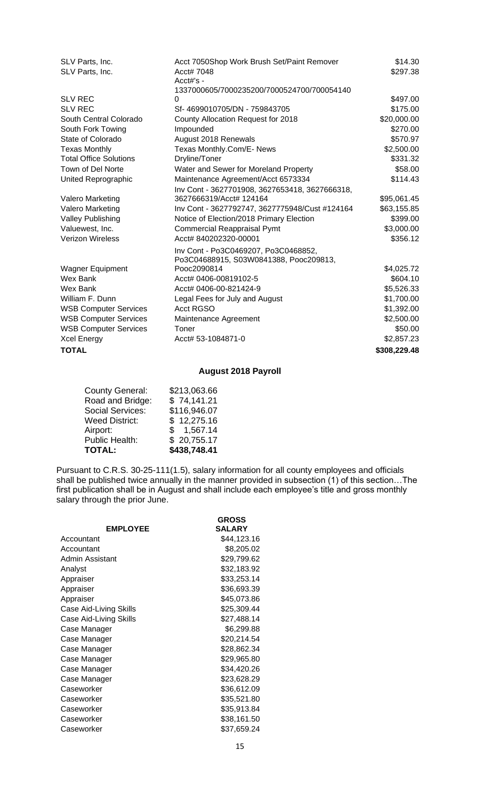| SLV Parts, Inc.               | Acct 7050Shop Work Brush Set/Paint Remover     | \$14.30      |
|-------------------------------|------------------------------------------------|--------------|
| SLV Parts, Inc.               | Acct# 7048                                     | \$297.38     |
|                               | Acct#'s -                                      |              |
|                               | 1337000605/7000235200/7000524700/700054140     |              |
| <b>SLV REC</b>                | $\Omega$                                       | \$497.00     |
| <b>SLV REC</b>                | Sf-4699010705/DN - 759843705                   | \$175.00     |
| South Central Colorado        | County Allocation Request for 2018             | \$20,000.00  |
| South Fork Towing             | Impounded                                      | \$270.00     |
| State of Colorado             | August 2018 Renewals                           | \$570.97     |
| <b>Texas Monthly</b>          | Texas Monthly.Com/E- News                      | \$2,500.00   |
| <b>Total Office Solutions</b> | Dryline/Toner                                  | \$331.32     |
| Town of Del Norte             | Water and Sewer for Moreland Property          | \$58.00      |
| United Reprographic           | Maintenance Agreement/Acct 6573334             | \$114.43     |
|                               | Inv Cont - 3627701908, 3627653418, 3627666318, |              |
| <b>Valero Marketing</b>       | 3627666319/Acct# 124164                        | \$95,061.45  |
| Valero Marketing              | Inv Cont - 3627792747, 3627775948/Cust #124164 | \$63,155.85  |
| <b>Valley Publishing</b>      | Notice of Election/2018 Primary Election       | \$399.00     |
| Valuewest, Inc.               | <b>Commercial Reappraisal Pymt</b>             | \$3,000.00   |
| <b>Verizon Wireless</b>       | Acct# 840202320-00001                          | \$356.12     |
|                               | Inv Cont - Po3C0469207, Po3C0468852,           |              |
|                               | Po3C04688915, S03W0841388, Pooc209813,         |              |
| <b>Wagner Equipment</b>       | Pooc2090814                                    | \$4,025.72   |
| Wex Bank                      | Acct# 0406-00819102-5                          | \$604.10     |
| Wex Bank                      | Acct# 0406-00-821424-9                         | \$5,526.33   |
| William F. Dunn               | Legal Fees for July and August                 | \$1,700.00   |
| <b>WSB Computer Services</b>  | <b>Acct RGSO</b>                               | \$1,392.00   |
| <b>WSB Computer Services</b>  | Maintenance Agreement                          | \$2,500.00   |
| <b>WSB Computer Services</b>  | Toner                                          | \$50.00      |
| <b>Xcel Energy</b>            | Acct# 53-1084871-0                             | \$2,857.23   |
| <b>TOTAL</b>                  |                                                | \$308,229.48 |
|                               |                                                |              |

## **August 2018 Payroll**

| <b>County General:</b>  | \$213,063.66 |
|-------------------------|--------------|
| Road and Bridge:        | \$74,141.21  |
| <b>Social Services:</b> | \$116,946.07 |
| <b>Weed District:</b>   | \$12,275.16  |
| Airport:                | \$1,567.14   |
| <b>Public Health:</b>   | \$20,755.17  |
| <b>TOTAL:</b>           | \$438,748.41 |

Pursuant to C.R.S. 30-25-111(1.5), salary information for all county employees and officials shall be published twice annually in the manner provided in subsection (1) of this section…The first publication shall be in August and shall include each employee's title and gross monthly salary through the prior June.

|                        | <b>GROSS</b>  |
|------------------------|---------------|
| <b>EMPLOYEE</b>        | <b>SALARY</b> |
| Accountant             | \$44,123.16   |
| Accountant             | \$8,205.02    |
| Admin Assistant        | \$29,799.62   |
| Analyst                | \$32,183.92   |
| Appraiser              | \$33,253.14   |
| Appraiser              | \$36,693.39   |
| Appraiser              | \$45,073.86   |
| Case Aid-Living Skills | \$25,309.44   |
| Case Aid-Living Skills | \$27,488.14   |
| Case Manager           | \$6,299.88    |
| Case Manager           | \$20,214.54   |
| Case Manager           | \$28,862.34   |
| Case Manager           | \$29,965.80   |
| Case Manager           | \$34,420.26   |
| Case Manager           | \$23,628.29   |
| Caseworker             | \$36,612.09   |
| Caseworker             | \$35,521.80   |
| Caseworker             | \$35,913.84   |
| Caseworker             | \$38,161.50   |
| Caseworker             | \$37,659.24   |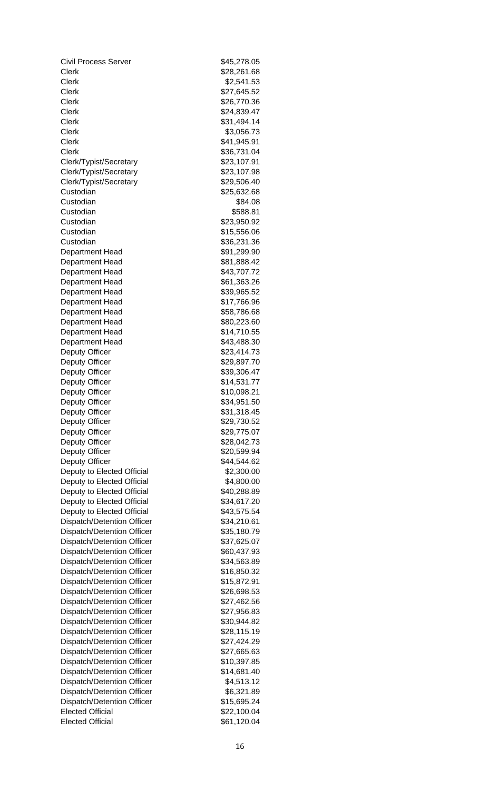Civil Process Server Clerk \$28,261.68 Clerk \$2,541.53 Clerk \$27,645.52 Clerk \$26,770.36 Clerk \$24,839.47 Clerk \$31,494.14 Clerk \$3,056.73 Clerk \$41,945.91 Clerk \$36,731.04 Clerk/Typist/Secretary Clerk/Typist/Secretary Clerk/Typist/Secretary **Custodian** Custodian Custodian Custodian **Custodian Custodian** Department Head Department Head Department Head Department Head Department Head Department Head Department Head Department Head Department Head Department Head Deputy Officer Deputy Officer Deputy Officer Deputy Officer Deputy Officer Deputy Officer Deputy Officer Deputy Officer Deputy Officer Deputy Officer Deputy Officer Deputy Officer Deputy to Elected Official Deputy to Elected Official Deputy to Elected Official Deputy to Elected Official Deputy to Elected Official Dispatch/Detention Officer Dispatch/Detention Officer Dispatch/Detention Officer Dispatch/Detention Officer Dispatch/Detention Officer Dispatch/Detention Officer Dispatch/Detention Officer Dispatch/Detention Officer Dispatch/Detention Officer Dispatch/Detention Officer Dispatch/Detention Officer Dispatch/Detention Officer Dispatch/Detention Officer Dispatch/Detention Officer Dispatch/Detention Officer Dispatch/Detention Officer Dispatch/Detention Officer Dispatch/Detention Officer Dispatch/Detention Officer **Elected Official Elected Official** 

| \$45,278.05<br>\$28,261.68 |
|----------------------------|
| \$2,541.53                 |
| \$27,645.52                |
| \$26,770.36<br>\$24,839.47 |
| \$31,494.14                |
| \$3,056.73<br>\$41,945.91  |
| \$36,731.04                |
| \$23,107.91                |
| \$23,107.98<br>\$29,506.40 |
| \$25,632.68                |
| \$84.08<br>\$588.81        |
| \$23,950.92                |
| \$15,556.06<br>\$36,231.36 |
| \$91,299.90                |
| \$81,888.42                |
| \$43,707.72<br>\$61,363.26 |
| \$39,965.52                |
| \$17,766.96<br>\$58,786.68 |
| \$80,223.60                |
| \$14,710.55                |
| \$43,488.30<br>\$23,414.73 |
| \$29,897.70                |
| \$39,306.47<br>\$14,531.77 |
| \$10,098.21                |
| \$34,951.50<br>\$31,318.45 |
| \$29,730.52                |
| \$29,775.07                |
| \$28,042.73<br>\$20,599.94 |
| \$44,544.62                |
| \$2,300.00<br>\$4,800.00   |
| \$40,288.89                |
| \$34,617.20                |
| \$43,575.54<br>\$34,210.61 |
| \$35,180.79                |
| \$37,625.07<br>\$60,437.93 |
| \$34,563.89                |
| \$16,850.32<br>\$15,872.91 |
| \$26,698.53                |
| \$27,462.56                |
| \$27,956.83<br>\$30,944.82 |
| \$28,115.19                |
| \$27,424.29<br>\$27,665.63 |
| \$10,397.85                |
| \$14,681.40<br>\$4,513.12  |
| \$6,321.89                 |
| \$15,695.24<br>\$22,100.04 |
| \$61,120.04                |
|                            |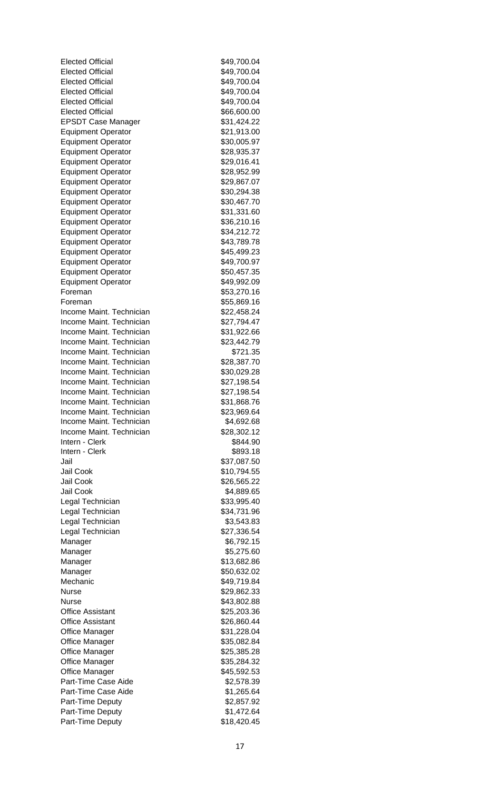| <b>Elected Official</b>   | \$49,700.04 |
|---------------------------|-------------|
| <b>Elected Official</b>   | \$49,700.04 |
| <b>Elected Official</b>   | \$49,700.04 |
| <b>Elected Official</b>   | \$49,700.04 |
| <b>Elected Official</b>   | \$49,700.04 |
| <b>Elected Official</b>   | \$66,600.00 |
| <b>EPSDT Case Manager</b> | \$31,424.22 |
| <b>Equipment Operator</b> | \$21,913.00 |
| <b>Equipment Operator</b> | \$30,005.97 |
| <b>Equipment Operator</b> | \$28,935.37 |
| <b>Equipment Operator</b> | \$29,016.41 |
| <b>Equipment Operator</b> | \$28,952.99 |
| <b>Equipment Operator</b> | \$29,867.07 |
| <b>Equipment Operator</b> | \$30,294.38 |
| <b>Equipment Operator</b> | \$30,467.70 |
| <b>Equipment Operator</b> | \$31,331.60 |
| <b>Equipment Operator</b> | \$36,210.16 |
| <b>Equipment Operator</b> | \$34,212.72 |
| <b>Equipment Operator</b> | \$43,789.78 |
| <b>Equipment Operator</b> | \$45,499.23 |
| <b>Equipment Operator</b> | \$49,700.97 |
| <b>Equipment Operator</b> | \$50,457.35 |
| <b>Equipment Operator</b> | \$49,992.09 |
| Foreman                   | \$53,270.16 |
| Foreman                   | \$55,869.16 |
| Income Maint. Technician  | \$22,458.24 |
| Income Maint. Technician  | \$27,794.47 |
| Income Maint. Technician  | \$31,922.66 |
| Income Maint. Technician  | \$23,442.79 |
| Income Maint. Technician  | \$721.35    |
| Income Maint. Technician  | \$28,387.70 |
| Income Maint. Technician  | \$30,029.28 |
| Income Maint. Technician  | \$27,198.54 |
| Income Maint. Technician  | \$27,198.54 |
| Income Maint, Technician  | \$31,868.76 |
| Income Maint. Technician  | \$23,969.64 |
| Income Maint. Technician  | \$4,692.68  |
| Income Maint. Technician  | \$28,302.12 |
| Intern - Clerk            | \$844.90    |
| Intern - Clerk            | \$893.18    |
| Jail                      | \$37,087.50 |
| Jail Cook                 | \$10,794.55 |
| Jail Cook                 | \$26,565.22 |
| Jail Cook                 | \$4,889.65  |
| Legal Technician          | \$33,995.40 |
| Legal Technician          | \$34,731.96 |
| Legal Technician          | \$3,543.83  |
| Legal Technician          | \$27,336.54 |
| Manager                   | \$6,792.15  |
| Manager                   | \$5,275.60  |
| Manager                   | \$13,682.86 |
| Manager                   | \$50,632.02 |
| Mechanic                  | \$49,719.84 |
| <b>Nurse</b>              | \$29,862.33 |
| Nurse                     | \$43,802.88 |
| <b>Office Assistant</b>   | \$25,203.36 |
| <b>Office Assistant</b>   | \$26,860.44 |
| <b>Office Manager</b>     | \$31,228.04 |
| <b>Office Manager</b>     | \$35,082.84 |
| Office Manager            | \$25,385.28 |
| <b>Office Manager</b>     | \$35,284.32 |
| <b>Office Manager</b>     | \$45,592.53 |
| Part-Time Case Aide       | \$2,578.39  |
| Part-Time Case Aide       | \$1,265.64  |
| Part-Time Deputy          | \$2,857.92  |
| Part-Time Deputy          | \$1,472.64  |
| Part-Time Deputy          | \$18,420.45 |
|                           |             |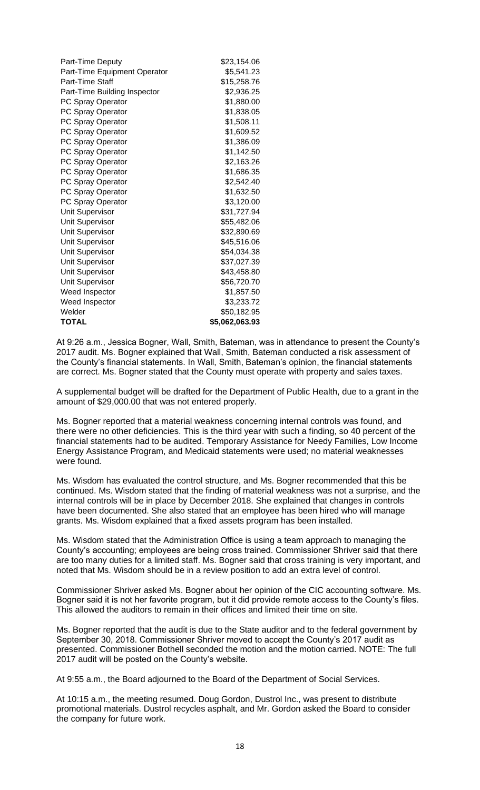| Part-Time Deputy             | \$23,154.06    |
|------------------------------|----------------|
| Part-Time Equipment Operator | \$5,541.23     |
| Part-Time Staff              | \$15,258.76    |
| Part-Time Building Inspector | \$2,936.25     |
| PC Spray Operator            | \$1,880.00     |
| PC Spray Operator            | \$1,838.05     |
| PC Spray Operator            | \$1,508.11     |
| PC Spray Operator            | \$1,609.52     |
| PC Spray Operator            | \$1,386.09     |
| PC Spray Operator            | \$1,142.50     |
| PC Spray Operator            | \$2,163.26     |
| PC Spray Operator            | \$1,686.35     |
| PC Spray Operator            | \$2,542.40     |
| PC Spray Operator            | \$1,632.50     |
| PC Spray Operator            | \$3,120.00     |
| Unit Supervisor              | \$31,727.94    |
| Unit Supervisor              | \$55,482.06    |
| <b>Unit Supervisor</b>       | \$32,890.69    |
| Unit Supervisor              | \$45,516.06    |
| Unit Supervisor              | \$54,034.38    |
| Unit Supervisor              | \$37,027.39    |
| Unit Supervisor              | \$43,458.80    |
| Unit Supervisor              | \$56,720.70    |
| Weed Inspector               | \$1,857.50     |
| Weed Inspector               | \$3,233.72     |
| Welder                       | \$50,182.95    |
| <b>TOTAL</b>                 | \$5,062,063.93 |

At 9:26 a.m., Jessica Bogner, Wall, Smith, Bateman, was in attendance to present the County's 2017 audit. Ms. Bogner explained that Wall, Smith, Bateman conducted a risk assessment of the County's financial statements. In Wall, Smith, Bateman's opinion, the financial statements are correct. Ms. Bogner stated that the County must operate with property and sales taxes.

A supplemental budget will be drafted for the Department of Public Health, due to a grant in the amount of \$29,000.00 that was not entered properly.

Ms. Bogner reported that a material weakness concerning internal controls was found, and there were no other deficiencies. This is the third year with such a finding, so 40 percent of the financial statements had to be audited. Temporary Assistance for Needy Families, Low Income Energy Assistance Program, and Medicaid statements were used; no material weaknesses were found.

Ms. Wisdom has evaluated the control structure, and Ms. Bogner recommended that this be continued. Ms. Wisdom stated that the finding of material weakness was not a surprise, and the internal controls will be in place by December 2018. She explained that changes in controls have been documented. She also stated that an employee has been hired who will manage grants. Ms. Wisdom explained that a fixed assets program has been installed.

Ms. Wisdom stated that the Administration Office is using a team approach to managing the County's accounting; employees are being cross trained. Commissioner Shriver said that there are too many duties for a limited staff. Ms. Bogner said that cross training is very important, and noted that Ms. Wisdom should be in a review position to add an extra level of control.

Commissioner Shriver asked Ms. Bogner about her opinion of the CIC accounting software. Ms. Bogner said it is not her favorite program, but it did provide remote access to the County's files. This allowed the auditors to remain in their offices and limited their time on site.

Ms. Bogner reported that the audit is due to the State auditor and to the federal government by September 30, 2018. Commissioner Shriver moved to accept the County's 2017 audit as presented. Commissioner Bothell seconded the motion and the motion carried. NOTE: The full 2017 audit will be posted on the County's website.

At 9:55 a.m., the Board adjourned to the Board of the Department of Social Services.

At 10:15 a.m., the meeting resumed. Doug Gordon, Dustrol Inc., was present to distribute promotional materials. Dustrol recycles asphalt, and Mr. Gordon asked the Board to consider the company for future work.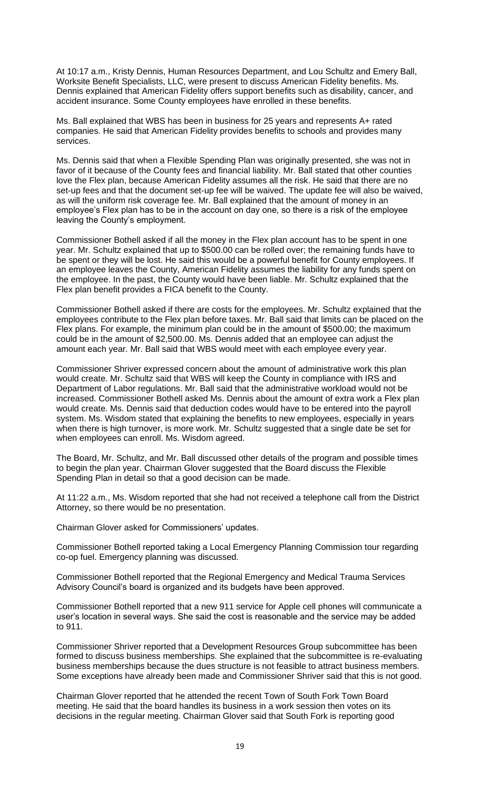At 10:17 a.m., Kristy Dennis, Human Resources Department, and Lou Schultz and Emery Ball, Worksite Benefit Specialists, LLC, were present to discuss American Fidelity benefits. Ms. Dennis explained that American Fidelity offers support benefits such as disability, cancer, and accident insurance. Some County employees have enrolled in these benefits.

Ms. Ball explained that WBS has been in business for 25 years and represents A+ rated companies. He said that American Fidelity provides benefits to schools and provides many services.

Ms. Dennis said that when a Flexible Spending Plan was originally presented, she was not in favor of it because of the County fees and financial liability. Mr. Ball stated that other counties love the Flex plan, because American Fidelity assumes all the risk. He said that there are no set-up fees and that the document set-up fee will be waived. The update fee will also be waived, as will the uniform risk coverage fee. Mr. Ball explained that the amount of money in an employee's Flex plan has to be in the account on day one, so there is a risk of the employee leaving the County's employment.

Commissioner Bothell asked if all the money in the Flex plan account has to be spent in one year. Mr. Schultz explained that up to \$500.00 can be rolled over; the remaining funds have to be spent or they will be lost. He said this would be a powerful benefit for County employees. If an employee leaves the County, American Fidelity assumes the liability for any funds spent on the employee. In the past, the County would have been liable. Mr. Schultz explained that the Flex plan benefit provides a FICA benefit to the County.

Commissioner Bothell asked if there are costs for the employees. Mr. Schultz explained that the employees contribute to the Flex plan before taxes. Mr. Ball said that limits can be placed on the Flex plans. For example, the minimum plan could be in the amount of \$500.00; the maximum could be in the amount of \$2,500.00. Ms. Dennis added that an employee can adjust the amount each year. Mr. Ball said that WBS would meet with each employee every year.

Commissioner Shriver expressed concern about the amount of administrative work this plan would create. Mr. Schultz said that WBS will keep the County in compliance with IRS and Department of Labor regulations. Mr. Ball said that the administrative workload would not be increased. Commissioner Bothell asked Ms. Dennis about the amount of extra work a Flex plan would create. Ms. Dennis said that deduction codes would have to be entered into the payroll system. Ms. Wisdom stated that explaining the benefits to new employees, especially in years when there is high turnover, is more work. Mr. Schultz suggested that a single date be set for when employees can enroll. Ms. Wisdom agreed.

The Board, Mr. Schultz, and Mr. Ball discussed other details of the program and possible times to begin the plan year. Chairman Glover suggested that the Board discuss the Flexible Spending Plan in detail so that a good decision can be made.

At 11:22 a.m., Ms. Wisdom reported that she had not received a telephone call from the District Attorney, so there would be no presentation.

Chairman Glover asked for Commissioners' updates.

Commissioner Bothell reported taking a Local Emergency Planning Commission tour regarding co-op fuel. Emergency planning was discussed.

Commissioner Bothell reported that the Regional Emergency and Medical Trauma Services Advisory Council's board is organized and its budgets have been approved.

Commissioner Bothell reported that a new 911 service for Apple cell phones will communicate a user's location in several ways. She said the cost is reasonable and the service may be added to 911.

Commissioner Shriver reported that a Development Resources Group subcommittee has been formed to discuss business memberships. She explained that the subcommittee is re-evaluating business memberships because the dues structure is not feasible to attract business members. Some exceptions have already been made and Commissioner Shriver said that this is not good.

Chairman Glover reported that he attended the recent Town of South Fork Town Board meeting. He said that the board handles its business in a work session then votes on its decisions in the regular meeting. Chairman Glover said that South Fork is reporting good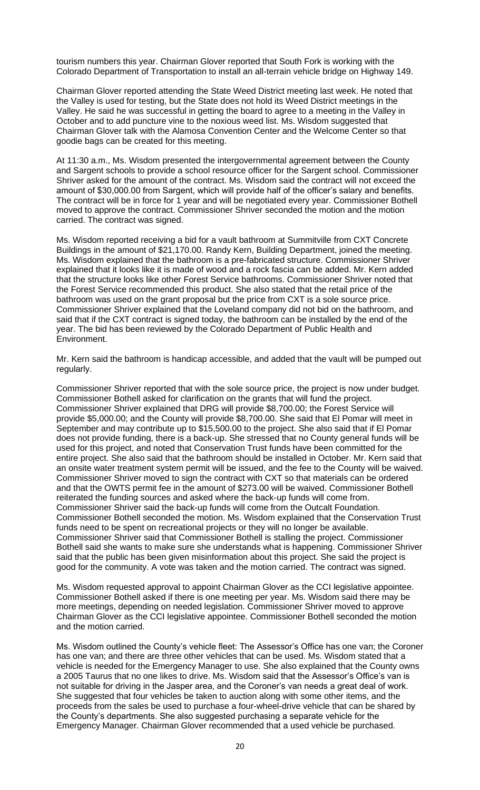tourism numbers this year. Chairman Glover reported that South Fork is working with the Colorado Department of Transportation to install an all-terrain vehicle bridge on Highway 149.

Chairman Glover reported attending the State Weed District meeting last week. He noted that the Valley is used for testing, but the State does not hold its Weed District meetings in the Valley. He said he was successful in getting the board to agree to a meeting in the Valley in October and to add puncture vine to the noxious weed list. Ms. Wisdom suggested that Chairman Glover talk with the Alamosa Convention Center and the Welcome Center so that goodie bags can be created for this meeting.

At 11:30 a.m., Ms. Wisdom presented the intergovernmental agreement between the County and Sargent schools to provide a school resource officer for the Sargent school. Commissioner Shriver asked for the amount of the contract. Ms. Wisdom said the contract will not exceed the amount of \$30,000.00 from Sargent, which will provide half of the officer's salary and benefits. The contract will be in force for 1 year and will be negotiated every year. Commissioner Bothell moved to approve the contract. Commissioner Shriver seconded the motion and the motion carried. The contract was signed.

Ms. Wisdom reported receiving a bid for a vault bathroom at Summitville from CXT Concrete Buildings in the amount of \$21,170.00. Randy Kern, Building Department, joined the meeting. Ms. Wisdom explained that the bathroom is a pre-fabricated structure. Commissioner Shriver explained that it looks like it is made of wood and a rock fascia can be added. Mr. Kern added that the structure looks like other Forest Service bathrooms. Commissioner Shriver noted that the Forest Service recommended this product. She also stated that the retail price of the bathroom was used on the grant proposal but the price from CXT is a sole source price. Commissioner Shriver explained that the Loveland company did not bid on the bathroom, and said that if the CXT contract is signed today, the bathroom can be installed by the end of the year. The bid has been reviewed by the Colorado Department of Public Health and Environment.

Mr. Kern said the bathroom is handicap accessible, and added that the vault will be pumped out regularly.

Commissioner Shriver reported that with the sole source price, the project is now under budget. Commissioner Bothell asked for clarification on the grants that will fund the project. Commissioner Shriver explained that DRG will provide \$8,700.00; the Forest Service will provide \$5,000.00; and the County will provide \$8,700.00. She said that El Pomar will meet in September and may contribute up to \$15,500.00 to the project. She also said that if El Pomar does not provide funding, there is a back-up. She stressed that no County general funds will be used for this project, and noted that Conservation Trust funds have been committed for the entire project. She also said that the bathroom should be installed in October. Mr. Kern said that an onsite water treatment system permit will be issued, and the fee to the County will be waived. Commissioner Shriver moved to sign the contract with CXT so that materials can be ordered and that the OWTS permit fee in the amount of \$273.00 will be waived. Commissioner Bothell reiterated the funding sources and asked where the back-up funds will come from. Commissioner Shriver said the back-up funds will come from the Outcalt Foundation. Commissioner Bothell seconded the motion. Ms. Wisdom explained that the Conservation Trust funds need to be spent on recreational projects or they will no longer be available. Commissioner Shriver said that Commissioner Bothell is stalling the project. Commissioner Bothell said she wants to make sure she understands what is happening. Commissioner Shriver said that the public has been given misinformation about this project. She said the project is good for the community. A vote was taken and the motion carried. The contract was signed.

Ms. Wisdom requested approval to appoint Chairman Glover as the CCI legislative appointee. Commissioner Bothell asked if there is one meeting per year. Ms. Wisdom said there may be more meetings, depending on needed legislation. Commissioner Shriver moved to approve Chairman Glover as the CCI legislative appointee. Commissioner Bothell seconded the motion and the motion carried.

Ms. Wisdom outlined the County's vehicle fleet: The Assessor's Office has one van; the Coroner has one van; and there are three other vehicles that can be used. Ms. Wisdom stated that a vehicle is needed for the Emergency Manager to use. She also explained that the County owns a 2005 Taurus that no one likes to drive. Ms. Wisdom said that the Assessor's Office's van is not suitable for driving in the Jasper area, and the Coroner's van needs a great deal of work. She suggested that four vehicles be taken to auction along with some other items, and the proceeds from the sales be used to purchase a four-wheel-drive vehicle that can be shared by the County's departments. She also suggested purchasing a separate vehicle for the Emergency Manager. Chairman Glover recommended that a used vehicle be purchased.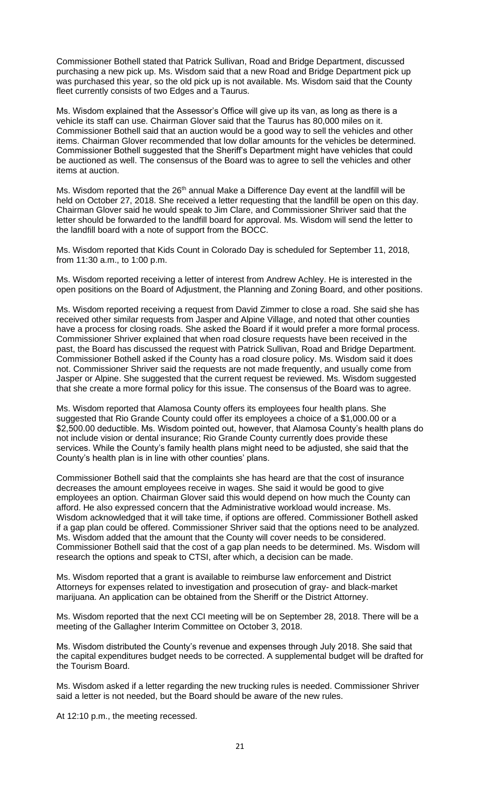Commissioner Bothell stated that Patrick Sullivan, Road and Bridge Department, discussed purchasing a new pick up. Ms. Wisdom said that a new Road and Bridge Department pick up was purchased this year, so the old pick up is not available. Ms. Wisdom said that the County fleet currently consists of two Edges and a Taurus.

Ms. Wisdom explained that the Assessor's Office will give up its van, as long as there is a vehicle its staff can use. Chairman Glover said that the Taurus has 80,000 miles on it. Commissioner Bothell said that an auction would be a good way to sell the vehicles and other items. Chairman Glover recommended that low dollar amounts for the vehicles be determined. Commissioner Bothell suggested that the Sheriff's Department might have vehicles that could be auctioned as well. The consensus of the Board was to agree to sell the vehicles and other items at auction.

Ms. Wisdom reported that the 26<sup>th</sup> annual Make a Difference Day event at the landfill will be held on October 27, 2018. She received a letter requesting that the landfill be open on this day. Chairman Glover said he would speak to Jim Clare, and Commissioner Shriver said that the letter should be forwarded to the landfill board for approval. Ms. Wisdom will send the letter to the landfill board with a note of support from the BOCC.

Ms. Wisdom reported that Kids Count in Colorado Day is scheduled for September 11, 2018, from 11:30 a.m., to 1:00 p.m.

Ms. Wisdom reported receiving a letter of interest from Andrew Achley. He is interested in the open positions on the Board of Adjustment, the Planning and Zoning Board, and other positions.

Ms. Wisdom reported receiving a request from David Zimmer to close a road. She said she has received other similar requests from Jasper and Alpine Village, and noted that other counties have a process for closing roads. She asked the Board if it would prefer a more formal process. Commissioner Shriver explained that when road closure requests have been received in the past, the Board has discussed the request with Patrick Sullivan, Road and Bridge Department. Commissioner Bothell asked if the County has a road closure policy. Ms. Wisdom said it does not. Commissioner Shriver said the requests are not made frequently, and usually come from Jasper or Alpine. She suggested that the current request be reviewed. Ms. Wisdom suggested that she create a more formal policy for this issue. The consensus of the Board was to agree.

Ms. Wisdom reported that Alamosa County offers its employees four health plans. She suggested that Rio Grande County could offer its employees a choice of a \$1,000.00 or a \$2,500.00 deductible. Ms. Wisdom pointed out, however, that Alamosa County's health plans do not include vision or dental insurance; Rio Grande County currently does provide these services. While the County's family health plans might need to be adjusted, she said that the County's health plan is in line with other counties' plans.

Commissioner Bothell said that the complaints she has heard are that the cost of insurance decreases the amount employees receive in wages. She said it would be good to give employees an option. Chairman Glover said this would depend on how much the County can afford. He also expressed concern that the Administrative workload would increase. Ms. Wisdom acknowledged that it will take time, if options are offered. Commissioner Bothell asked if a gap plan could be offered. Commissioner Shriver said that the options need to be analyzed. Ms. Wisdom added that the amount that the County will cover needs to be considered. Commissioner Bothell said that the cost of a gap plan needs to be determined. Ms. Wisdom will research the options and speak to CTSI, after which, a decision can be made.

Ms. Wisdom reported that a grant is available to reimburse law enforcement and District Attorneys for expenses related to investigation and prosecution of gray- and black-market marijuana. An application can be obtained from the Sheriff or the District Attorney.

Ms. Wisdom reported that the next CCI meeting will be on September 28, 2018. There will be a meeting of the Gallagher Interim Committee on October 3, 2018.

Ms. Wisdom distributed the County's revenue and expenses through July 2018. She said that the capital expenditures budget needs to be corrected. A supplemental budget will be drafted for the Tourism Board.

Ms. Wisdom asked if a letter regarding the new trucking rules is needed. Commissioner Shriver said a letter is not needed, but the Board should be aware of the new rules.

At 12:10 p.m., the meeting recessed.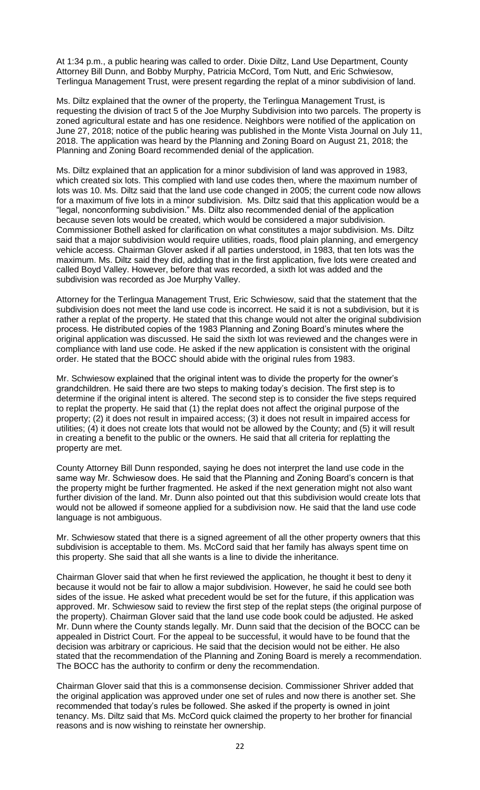At 1:34 p.m., a public hearing was called to order. Dixie Diltz, Land Use Department, County Attorney Bill Dunn, and Bobby Murphy, Patricia McCord, Tom Nutt, and Eric Schwiesow, Terlingua Management Trust, were present regarding the replat of a minor subdivision of land.

Ms. Diltz explained that the owner of the property, the Terlingua Management Trust, is requesting the division of tract 5 of the Joe Murphy Subdivision into two parcels. The property is zoned agricultural estate and has one residence. Neighbors were notified of the application on June 27, 2018; notice of the public hearing was published in the Monte Vista Journal on July 11, 2018. The application was heard by the Planning and Zoning Board on August 21, 2018; the Planning and Zoning Board recommended denial of the application.

Ms. Diltz explained that an application for a minor subdivision of land was approved in 1983, which created six lots. This complied with land use codes then, where the maximum number of lots was 10. Ms. Diltz said that the land use code changed in 2005; the current code now allows for a maximum of five lots in a minor subdivision. Ms. Diltz said that this application would be a "legal, nonconforming subdivision." Ms. Diltz also recommended denial of the application because seven lots would be created, which would be considered a major subdivision. Commissioner Bothell asked for clarification on what constitutes a major subdivision. Ms. Diltz said that a major subdivision would require utilities, roads, flood plain planning, and emergency vehicle access. Chairman Glover asked if all parties understood, in 1983, that ten lots was the maximum. Ms. Diltz said they did, adding that in the first application, five lots were created and called Boyd Valley. However, before that was recorded, a sixth lot was added and the subdivision was recorded as Joe Murphy Valley.

Attorney for the Terlingua Management Trust, Eric Schwiesow, said that the statement that the subdivision does not meet the land use code is incorrect. He said it is not a subdivision, but it is rather a replat of the property. He stated that this change would not alter the original subdivision process. He distributed copies of the 1983 Planning and Zoning Board's minutes where the original application was discussed. He said the sixth lot was reviewed and the changes were in compliance with land use code. He asked if the new application is consistent with the original order. He stated that the BOCC should abide with the original rules from 1983.

Mr. Schwiesow explained that the original intent was to divide the property for the owner's grandchildren. He said there are two steps to making today's decision. The first step is to determine if the original intent is altered. The second step is to consider the five steps required to replat the property. He said that (1) the replat does not affect the original purpose of the property; (2) it does not result in impaired access; (3) it does not result in impaired access for utilities; (4) it does not create lots that would not be allowed by the County; and (5) it will result in creating a benefit to the public or the owners. He said that all criteria for replatting the property are met.

County Attorney Bill Dunn responded, saying he does not interpret the land use code in the same way Mr. Schwiesow does. He said that the Planning and Zoning Board's concern is that the property might be further fragmented. He asked if the next generation might not also want further division of the land. Mr. Dunn also pointed out that this subdivision would create lots that would not be allowed if someone applied for a subdivision now. He said that the land use code language is not ambiguous.

Mr. Schwiesow stated that there is a signed agreement of all the other property owners that this subdivision is acceptable to them. Ms. McCord said that her family has always spent time on this property. She said that all she wants is a line to divide the inheritance.

Chairman Glover said that when he first reviewed the application, he thought it best to deny it because it would not be fair to allow a major subdivision. However, he said he could see both sides of the issue. He asked what precedent would be set for the future, if this application was approved. Mr. Schwiesow said to review the first step of the replat steps (the original purpose of the property). Chairman Glover said that the land use code book could be adjusted. He asked Mr. Dunn where the County stands legally. Mr. Dunn said that the decision of the BOCC can be appealed in District Court. For the appeal to be successful, it would have to be found that the decision was arbitrary or capricious. He said that the decision would not be either. He also stated that the recommendation of the Planning and Zoning Board is merely a recommendation. The BOCC has the authority to confirm or deny the recommendation.

Chairman Glover said that this is a commonsense decision. Commissioner Shriver added that the original application was approved under one set of rules and now there is another set. She recommended that today's rules be followed. She asked if the property is owned in joint tenancy. Ms. Diltz said that Ms. McCord quick claimed the property to her brother for financial reasons and is now wishing to reinstate her ownership.